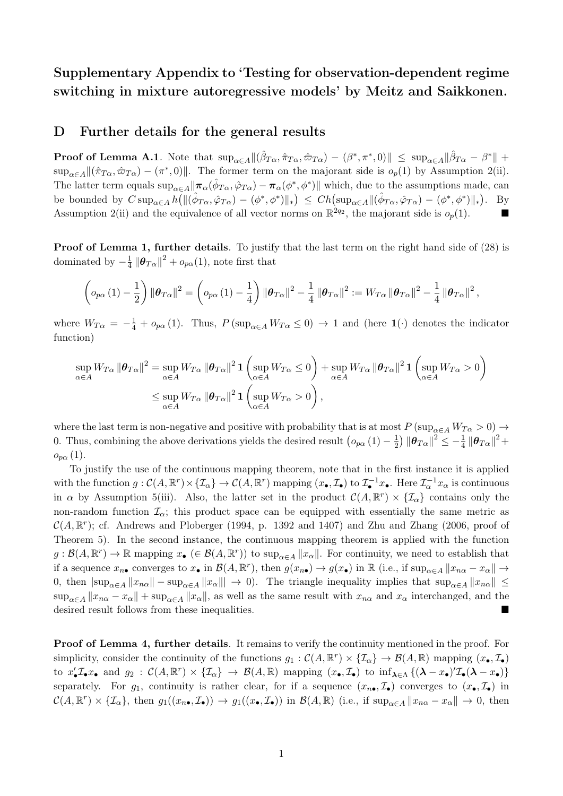# Supplementary Appendix to 'Testing for observation-dependent regime switching in mixture autoregressive models' by Meitz and Saikkonen.

# D Further details for the general results

**Proof of Lemma A.1**. Note that  $\sup_{\alpha \in A} \| (\hat{\beta}_{T\alpha}, \hat{\pi}_{T\alpha}, \hat{\varpi}_{T\alpha}) - (\beta^*, \pi^*, 0) \| \leq \sup_{\alpha \in A} \| \hat{\beta}_{T\alpha} - \beta^* \| +$  $\sup_{\alpha \in A} \| (\hat{\pi}_{T\alpha}, \hat{\varpi}_{T\alpha}) - (\pi^*, 0) \|$ . The former term on the majorant side is  $o_p(1)$  by Assumption 2(ii). The latter term equals  $\sup_{\alpha \in A} \|\pi_{\alpha}(\hat{\phi}_{T\alpha}, \hat{\varphi}_{T\alpha}) - \pi_{\alpha}(\phi^*, \phi^*)\|$  which, due to the assumptions made, can be bounded by  $C \sup_{\alpha \in A} h( \| (\hat{\phi}_{T\alpha}, \hat{\varphi}_{T\alpha}) - (\phi^*, \phi^*) \|_{*}) \leq Ch(\sup_{\alpha \in A} \| (\hat{\phi}_{T\alpha}, \hat{\varphi}_{T\alpha}) - (\phi^*, \phi^*) \|_{*}).$  By Assumption 2(ii) and the equivalence of all vector norms on  $\mathbb{R}^{2q_2}$ , the majorant side is  $o_p(1)$ .

Proof of Lemma 1, further details*.* To justify that the last term on the right hand side of (28) is dominated by  $-\frac{1}{4} \|\theta_{T\alpha}\|^2 + o_{p\alpha}(1)$ , note first that

$$
\left(o_{p\alpha}(1)-\frac{1}{2}\right)\left\|\boldsymbol{\theta}_{T\alpha}\right\|^{2}=\left(o_{p\alpha}(1)-\frac{1}{4}\right)\left\|\boldsymbol{\theta}_{T\alpha}\right\|^{2}-\frac{1}{4}\left\|\boldsymbol{\theta}_{T\alpha}\right\|^{2}:=W_{T\alpha}\left\|\boldsymbol{\theta}_{T\alpha}\right\|^{2}-\frac{1}{4}\left\|\boldsymbol{\theta}_{T\alpha}\right\|^{2},
$$

where  $W_{T\alpha} = -\frac{1}{4} + o_{p\alpha}(1)$ . Thus,  $P(\sup_{\alpha \in A} W_{T\alpha} \le 0) \rightarrow 1$  and (here  $\mathbf{1}(\cdot)$  denotes the indicator function)

$$
\sup_{\alpha \in A} W_{T\alpha} \|\boldsymbol{\theta}_{T\alpha}\|^2 = \sup_{\alpha \in A} W_{T\alpha} \|\boldsymbol{\theta}_{T\alpha}\|^2 \mathbf{1} \left(\sup_{\alpha \in A} W_{T\alpha} \le 0\right) + \sup_{\alpha \in A} W_{T\alpha} \|\boldsymbol{\theta}_{T\alpha}\|^2 \mathbf{1} \left(\sup_{\alpha \in A} W_{T\alpha} > 0\right)
$$
  

$$
\le \sup_{\alpha \in A} W_{T\alpha} \|\boldsymbol{\theta}_{T\alpha}\|^2 \mathbf{1} \left(\sup_{\alpha \in A} W_{T\alpha} > 0\right),
$$

where the last term is non-negative and positive with probability that is at most  $P(\sup_{\alpha \in A} W_{T\alpha} > 0) \rightarrow$ 0. Thus, combining the above derivations yields the desired result  $(o_{p\alpha}(1) - \frac{1}{2}) \|\boldsymbol{\theta}_{T\alpha}\|^2 \leq -\frac{1}{4} \|\boldsymbol{\theta}_{T\alpha}\|^2 +$  $o_{p\alpha}(1)$ .

To justify the use of the continuous mapping theorem, note that in the first instance it is applied with the function  $g: \mathcal{C}(A, \mathbb{R}^r) \times \{\mathcal{I}_{\alpha}\} \to \mathcal{C}(A, \mathbb{R}^r)$  mapping  $(x_{\bullet}, \mathcal{I}_{\bullet})$  to  $\mathcal{I}_{\bullet}^{-1}x_{\bullet}$ . Here  $\mathcal{I}_{\alpha}^{-1}x_{\alpha}$  is continuous in  $\alpha$  by Assumption 5(iii). Also, the latter set in the product  $\mathcal{C}(A,\mathbb{R}^r) \times {\mathcal{I}_{\alpha}}$  contains only the non-random function  $\mathcal{I}_{\alpha}$ ; this product space can be equipped with essentially the same metric as  $\mathcal{C}(A,\mathbb{R}^r)$ ; cf. Andrews and Ploberger (1994, p. 1392 and 1407) and Zhu and Zhang (2006, proof of Theorem 5). In the second instance, the continuous mapping theorem is applied with the function  $g: \mathcal{B}(A,\mathbb{R}^r) \to \mathbb{R}$  mapping  $x_{\bullet} \in \mathcal{B}(A,\mathbb{R}^r)$  to sup<sub> $\alpha \in A \|x_{\alpha}\|$ . For continuity, we need to establish that</sub> if a sequence  $x_{n\bullet}$  converges to  $x_{\bullet}$  in  $\mathcal{B}(A,\mathbb{R}^r)$ , then  $g(x_{n\bullet}) \to g(x_{\bullet})$  in  $\mathbb{R}$  (i.e., if  $\sup_{\alpha \in A} ||x_{n\alpha} - x_{\alpha}|| \to$ 0, then  $|\sup_{\alpha \in A} ||x_{n\alpha}|| - \sup_{\alpha \in A} ||x_{\alpha}|| | \to 0$ . The triangle inequality implies that  $\sup_{\alpha \in A} ||x_{n\alpha}|| \le$  $\sup_{\alpha \in A} ||x_{n\alpha} - x_{\alpha}|| + \sup_{\alpha \in A} ||x_{\alpha}||$ , as well as the same result with  $x_{n\alpha}$  and  $x_{\alpha}$  interchanged, and the desired result follows from these inequalities.

Proof of Lemma 4, further details*.* It remains to verify the continuity mentioned in the proof. For simplicity, consider the continuity of the functions  $g_1 : \mathcal{C}(A, \mathbb{R}^r) \times \{\mathcal{I}_{\alpha}\} \to \mathcal{B}(A, \mathbb{R})$  mapping  $(x_{\bullet}, \mathcal{I}_{\bullet})$ to  $x'_\bullet \mathcal{I}_\bullet x_\bullet$  and  $g_2 : \mathcal{C}(A, \mathbb{R}^r) \times \{\mathcal{I}_\alpha\} \to \mathcal{B}(A, \mathbb{R})$  mapping  $(x_\bullet, \mathcal{I}_\bullet)$  to  $\inf_{\lambda \in \Lambda} \{(\lambda - x_\bullet)'\mathcal{I}_\bullet(\lambda - x_\bullet)\}$ separately. For  $g_1$ , continuity is rather clear, for if a sequence  $(x_{n\bullet}, \mathcal{I}_{\bullet})$  converges to  $(x_{\bullet}, \mathcal{I}_{\bullet})$  in  $\mathcal{C}(A,\mathbb{R}^r)\times\{\mathcal{I}_{\alpha}\}\,$ , then  $g_1((x_{n\bullet},\mathcal{I}_{\bullet}))\to g_1((x_{\bullet},\mathcal{I}_{\bullet}))$  in  $\mathcal{B}(A,\mathbb{R})$  (i.e., if  $\sup_{\alpha\in A}||x_{n\alpha}-x_{\alpha}||\to 0$ , then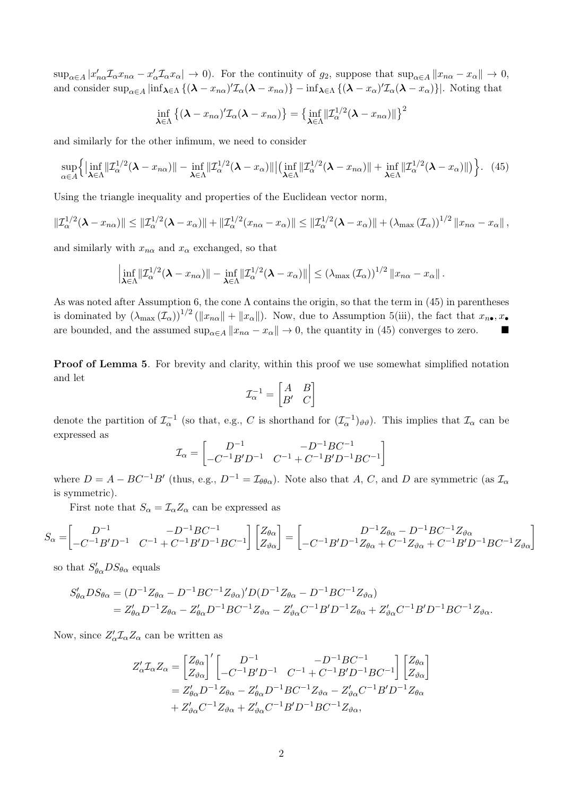$\sup_{\alpha \in A} |x'_{n\alpha} \mathcal{I}_{\alpha} x_{n\alpha} - x'_{\alpha} \mathcal{I}_{\alpha} x_{\alpha}| \to 0$ . For the continuity of  $g_2$ , suppose that  $\sup_{\alpha \in A} ||x_{n\alpha} - x_{\alpha}|| \to 0$ , and consider  $\sup_{\alpha \in A} |\inf_{\lambda \in \Lambda} \{ (\lambda - x_{n\alpha})' \mathcal{I}_{\alpha}(\lambda - x_{n\alpha}) \} - \inf_{\lambda \in \Lambda} \{ (\lambda - x_{\alpha})' \mathcal{I}_{\alpha}(\lambda - x_{\alpha}) \} |$ . Noting that

$$
\inf_{\boldsymbol{\lambda}\in\Lambda}\left\{(\boldsymbol{\lambda}-x_{n\alpha})'\mathcal{I}_{\alpha}(\boldsymbol{\lambda}-x_{n\alpha})\right\}=\left\{\inf_{\boldsymbol{\lambda}\in\Lambda}\|\mathcal{I}_{\alpha}^{1/2}(\boldsymbol{\lambda}-x_{n\alpha})\|\right\}^{2}
$$

and similarly for the other infimum, we need to consider

$$
\sup_{\alpha \in A} \left\{ \left| \inf_{\boldsymbol{\lambda} \in \Lambda} \|\mathcal{I}_{\alpha}^{1/2}(\boldsymbol{\lambda} - x_{n\alpha})\| - \inf_{\boldsymbol{\lambda} \in \Lambda} \|\mathcal{I}_{\alpha}^{1/2}(\boldsymbol{\lambda} - x_{\alpha})\| \right| \left( \inf_{\boldsymbol{\lambda} \in \Lambda} \|\mathcal{I}_{\alpha}^{1/2}(\boldsymbol{\lambda} - x_{n\alpha})\| + \inf_{\boldsymbol{\lambda} \in \Lambda} \|\mathcal{I}_{\alpha}^{1/2}(\boldsymbol{\lambda} - x_{\alpha})\| \right) \right\}.
$$
 (45)

Using the triangle inequality and properties of the Euclidean vector norm,

$$
\| \mathcal{I}_{\alpha}^{1/2} (\boldsymbol{\lambda} - x_{n\alpha}) \| \leq \| \mathcal{I}_{\alpha}^{1/2} (\boldsymbol{\lambda} - x_{\alpha}) \| + \| \mathcal{I}_{\alpha}^{1/2} (x_{n\alpha} - x_{\alpha}) \| \leq \| \mathcal{I}_{\alpha}^{1/2} (\boldsymbol{\lambda} - x_{\alpha}) \| + (\lambda_{\max} (\mathcal{I}_{\alpha}))^{1/2} \| x_{n\alpha} - x_{\alpha} \|,
$$

and similarly with  $x_{n\alpha}$  and  $x_{\alpha}$  exchanged, so that

$$
\left|\inf_{\boldsymbol{\lambda}\in\Lambda}\|\mathcal{I}_{\alpha}^{1/2}(\boldsymbol{\lambda}-x_{n\alpha})\|-\inf_{\boldsymbol{\lambda}\in\Lambda}\|\mathcal{I}_{\alpha}^{1/2}(\boldsymbol{\lambda}-x_{\alpha})\|\right|\leq \left(\lambda_{\max}\left(\mathcal{I}_{\alpha}\right)\right)^{1/2}\|x_{n\alpha}-x_{\alpha}\|.
$$

As was noted after Assumption 6, the cone  $\Lambda$  contains the origin, so that the term in (45) in parentheses is dominated by  $(\lambda_{\max} (\mathcal{I}_{\alpha}))^{1/2} (\Vert x_{n\alpha} \Vert + \Vert x_{\alpha} \Vert)$ . Now, due to Assumption 5(iii), the fact that  $x_{n\bullet}, x_{\bullet}$ are bounded, and the assumed  $\sup_{\alpha \in A} ||x_{n\alpha} - x_{\alpha}|| \to 0$ , the quantity in (45) converges to zero.

Proof of Lemma 5. For brevity and clarity, within this proof we use somewhat simplified notation and let

$$
\mathcal{I}_\alpha^{-1} = \begin{bmatrix} A & B \\ B' & C \end{bmatrix}
$$

denote the partition of  $\mathcal{I}_{\alpha}^{-1}$  (so that, e.g., *C* is shorthand for  $(\mathcal{I}_{\alpha}^{-1})_{\vartheta\vartheta}$ ). This implies that  $\mathcal{I}_{\alpha}$  can be expressed as

$$
\mathcal{I}_{\alpha} = \begin{bmatrix} D^{-1} & -D^{-1}BC^{-1} \\ -C^{-1}B'D^{-1} & C^{-1} + C^{-1}B'D^{-1}BC^{-1} \end{bmatrix}
$$

where  $D = A - BC^{-1}B'$  (thus, e.g.,  $D^{-1} = I_{\theta\theta\alpha}$ ). Note also that A, C, and D are symmetric (as  $I_{\alpha}$ is symmetric).

First note that  $S_\alpha = \mathcal{I}_\alpha Z_\alpha$  can be expressed as

$$
S_{\alpha} = \begin{bmatrix} D^{-1} & -D^{-1}BC^{-1} \ Z_{\theta\alpha} \end{bmatrix} \begin{bmatrix} Z_{\theta\alpha} \ Z_{\theta\alpha} \end{bmatrix} = \begin{bmatrix} D^{-1}Z_{\theta\alpha} - D^{-1}BC^{-1}Z_{\theta\alpha} \ -C^{-1}B'D^{-1}Z_{\theta\alpha} + C^{-1}Z_{\theta\alpha} + C^{-1}B'D^{-1}BC^{-1}Z_{\theta\alpha} \end{bmatrix}
$$

so that  $S'_{\theta\alpha}DS_{\theta\alpha}$  equals

$$
S'_{\theta\alpha}DS_{\theta\alpha} = (D^{-1}Z_{\theta\alpha} - D^{-1}BC^{-1}Z_{\vartheta\alpha})'D(D^{-1}Z_{\theta\alpha} - D^{-1}BC^{-1}Z_{\vartheta\alpha})
$$
  
=  $Z'_{\theta\alpha}D^{-1}Z_{\theta\alpha} - Z'_{\theta\alpha}D^{-1}BC^{-1}Z_{\vartheta\alpha} - Z'_{\vartheta\alpha}C^{-1}B'D^{-1}Z_{\theta\alpha} + Z'_{\vartheta\alpha}C^{-1}B'D^{-1}BC^{-1}Z_{\vartheta\alpha}.$ 

Now, since  $Z'_\alpha \mathcal{I}_\alpha Z_\alpha$  can be written as

$$
Z'_{\alpha} \mathcal{I}_{\alpha} Z_{\alpha} = \begin{bmatrix} Z_{\theta \alpha} \\ Z_{\vartheta \alpha} \end{bmatrix}' \begin{bmatrix} D^{-1} & -D^{-1}BC^{-1} \\ -C^{-1}B'D^{-1} & C^{-1} + C^{-1}B'D^{-1}BC^{-1} \end{bmatrix} \begin{bmatrix} Z_{\theta \alpha} \\ Z_{\vartheta \alpha} \end{bmatrix}
$$
  
=  $Z'_{\theta \alpha} D^{-1} Z_{\theta \alpha} - Z'_{\theta \alpha} D^{-1} BC^{-1} Z_{\vartheta \alpha} - Z'_{\vartheta \alpha} C^{-1}B'D^{-1} Z_{\theta \alpha}$   
+  $Z'_{\vartheta \alpha} C^{-1} Z_{\vartheta \alpha} + Z'_{\vartheta \alpha} C^{-1}B'D^{-1}BC^{-1} Z_{\vartheta \alpha},$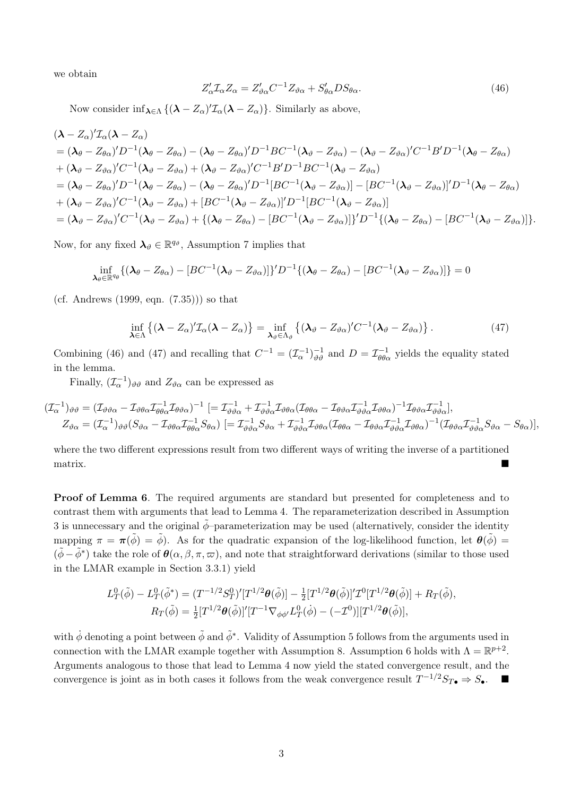we obtain

$$
Z'_{\alpha} \mathcal{I}_{\alpha} Z_{\alpha} = Z'_{\vartheta \alpha} C^{-1} Z_{\vartheta \alpha} + S'_{\theta \alpha} D S_{\theta \alpha}.
$$
\n
$$
(46)
$$

Now consider  $\inf_{\lambda \in \Lambda} \{ (\lambda - Z_{\alpha})' \mathcal{I}_{\alpha}(\lambda - Z_{\alpha}) \}$ . Similarly as above,

$$
(\lambda - Z_{\alpha})' \mathcal{I}_{\alpha} (\lambda - Z_{\alpha})
$$
\n
$$
= (\lambda_{\theta} - Z_{\theta \alpha})' D^{-1} (\lambda_{\theta} - Z_{\theta \alpha}) - (\lambda_{\theta} - Z_{\theta \alpha})' D^{-1} B C^{-1} (\lambda_{\theta} - Z_{\theta \alpha}) - (\lambda_{\theta} - Z_{\theta \alpha})' C^{-1} B' D^{-1} (\lambda_{\theta} - Z_{\theta \alpha})
$$
\n
$$
+ (\lambda_{\theta} - Z_{\theta \alpha})' C^{-1} (\lambda_{\theta} - Z_{\theta \alpha}) + (\lambda_{\theta} - Z_{\theta \alpha})' C^{-1} B' D^{-1} B C^{-1} (\lambda_{\theta} - Z_{\theta \alpha})
$$
\n
$$
= (\lambda_{\theta} - Z_{\theta \alpha})' D^{-1} (\lambda_{\theta} - Z_{\theta \alpha}) - (\lambda_{\theta} - Z_{\theta \alpha})' D^{-1} [BC^{-1} (\lambda_{\theta} - Z_{\theta \alpha})] - [BC^{-1} (\lambda_{\theta} - Z_{\theta \alpha})]' D^{-1} (\lambda_{\theta} - Z_{\theta \alpha})
$$
\n
$$
+ (\lambda_{\theta} - Z_{\theta \alpha})' C^{-1} (\lambda_{\theta} - Z_{\theta \alpha}) + [BC^{-1} (\lambda_{\theta} - Z_{\theta \alpha})]' D^{-1} [BC^{-1} (\lambda_{\theta} - Z_{\theta \alpha})]
$$
\n
$$
= (\lambda_{\theta} - Z_{\theta \alpha})' C^{-1} (\lambda_{\theta} - Z_{\theta \alpha}) + {(\lambda_{\theta} - Z_{\theta \alpha}) - [BC^{-1} (\lambda_{\theta} - Z_{\theta \alpha})]}' D^{-1} {(\lambda_{\theta} - Z_{\theta \alpha}) - [BC^{-1} (\lambda_{\theta} - Z_{\theta \alpha}) - [BC^{-1} (\lambda_{\theta} - Z_{\theta \alpha}) - [BC^{-1} (\lambda_{\theta} - Z_{\theta \alpha}) - [BC^{-1} (\lambda_{\theta} - Z_{\theta \alpha})] }.
$$

Now, for any fixed  $\lambda_{\vartheta} \in \mathbb{R}^{q_{\vartheta}}$ , Assumption 7 implies that

$$
\inf_{\boldsymbol{\lambda}_{\theta}\in\mathbb{R}^{q_{\theta}}} \{(\boldsymbol{\lambda}_{\theta}-Z_{\theta\alpha})-[BC^{-1}(\boldsymbol{\lambda}_{\vartheta}-Z_{\vartheta\alpha})]\}^{\prime}D^{-1}\{(\boldsymbol{\lambda}_{\theta}-Z_{\theta\alpha})-[BC^{-1}(\boldsymbol{\lambda}_{\vartheta}-Z_{\vartheta\alpha})]\}=0
$$

(cf. Andrews (1999, eqn. (7.35))) so that

$$
\inf_{\boldsymbol{\lambda}\in\Lambda}\left\{(\boldsymbol{\lambda}-Z_{\alpha})'\mathcal{I}_{\alpha}(\boldsymbol{\lambda}-Z_{\alpha})\right\}=\inf_{\boldsymbol{\lambda}_{\vartheta}\in\Lambda_{\vartheta}}\left\{(\boldsymbol{\lambda}_{\vartheta}-Z_{\vartheta\alpha})'C^{-1}(\boldsymbol{\lambda}_{\vartheta}-Z_{\vartheta\alpha})\right\}.
$$
\n(47)

Combining (46) and (47) and recalling that  $C^{-1} = (\mathcal{I}_{\alpha}^{-1})_{\vartheta\vartheta}^{-1}$  and  $D = \mathcal{I}_{\theta\theta\alpha}^{-1}$  yields the equality stated in the lemma.

Finally,  $(\mathcal{I}_{\alpha}^{-1})_{\vartheta\vartheta}$  and  $Z_{\vartheta\alpha}$  can be expressed as

$$
(\mathcal{I}_{\alpha}^{-1})_{\vartheta\vartheta} = (\mathcal{I}_{\vartheta\vartheta\alpha} - \mathcal{I}_{\vartheta\theta\alpha}\mathcal{I}_{\theta\theta\alpha}^{-1}\mathcal{I}_{\theta\vartheta\alpha})^{-1} \left[ = \mathcal{I}_{\vartheta\vartheta\alpha}^{-1} + \mathcal{I}_{\vartheta\vartheta\alpha}^{-1}\mathcal{I}_{\vartheta\theta\alpha}(\mathcal{I}_{\theta\theta\alpha} - \mathcal{I}_{\theta\vartheta\alpha}\mathcal{I}_{\vartheta\vartheta\alpha}^{-1}\mathcal{I}_{\vartheta\theta\alpha}\mathcal{I}_{\vartheta\vartheta\alpha}^{-1}) \right],
$$
  
\n
$$
Z_{\vartheta\alpha} = (\mathcal{I}_{\alpha}^{-1})_{\vartheta\vartheta}(S_{\vartheta\alpha} - \mathcal{I}_{\vartheta\theta\alpha}\mathcal{I}_{\theta\theta\alpha}^{-1}S_{\theta\alpha}) \left[ = \mathcal{I}_{\vartheta\vartheta\alpha}^{-1}S_{\vartheta\alpha} + \mathcal{I}_{\vartheta\vartheta\alpha}^{-1}\mathcal{I}_{\vartheta\theta\alpha}(\mathcal{I}_{\theta\theta\alpha} - \mathcal{I}_{\theta\vartheta\alpha}\mathcal{I}_{\vartheta\vartheta\alpha}^{-1}\mathcal{I}_{\vartheta\theta\alpha})^{-1}(\mathcal{I}_{\theta\vartheta\alpha}\mathcal{I}_{\vartheta\vartheta\alpha}^{-1}S_{\vartheta\alpha} - S_{\theta\alpha}) \right],
$$

where the two different expressions result from two different ways of writing the inverse of a partitioned matrix.

**Proof of Lemma 6**. The required arguments are standard but presented for completeness and to contrast them with arguments that lead to Lemma 4. The reparameterization described in Assumption 3 is unnecessary and the original  $\phi$ –parameterization may be used (alternatively, consider the identity mapping  $\pi = \pi(\tilde{\phi}) = \tilde{\phi}$ ). As for the quadratic expansion of the log-likelihood function, let  $\theta(\tilde{\phi}) =$  $(\tilde{\phi} - \tilde{\phi}^*)$  take the role of  $\theta(\alpha, \beta, \pi, \varpi)$ , and note that straightforward derivations (similar to those used in the LMAR example in Section 3.3.1) yield

$$
L_T^0(\tilde{\phi}) - L_T^0(\tilde{\phi}^*) = (T^{-1/2}S_T^0)'[T^{1/2}\theta(\tilde{\phi})] - \frac{1}{2}[T^{1/2}\theta(\tilde{\phi})]'T^0[T^{1/2}\theta(\tilde{\phi})] + R_T(\tilde{\phi}),
$$
  

$$
R_T(\tilde{\phi}) = \frac{1}{2}[T^{1/2}\theta(\tilde{\phi})]'[T^{-1}\nabla_{\phi\phi'}L_T^0(\dot{\phi}) - (-\mathcal{I}^0)][T^{1/2}\theta(\tilde{\phi})],
$$

with  $\dot{\phi}$  denoting a point between  $\tilde{\phi}$  and  $\tilde{\phi}^*$ . Validity of Assumption 5 follows from the arguments used in connection with the LMAR example together with Assumption 8. Assumption 6 holds with  $\Lambda = \mathbb{R}^{p+2}$ . Arguments analogous to those that lead to Lemma 4 now yield the stated convergence result, and the convergence is joint as in both cases it follows from the weak convergence result  $T^{-1/2}S_{T\bullet}\Rightarrow S_{\bullet}$ .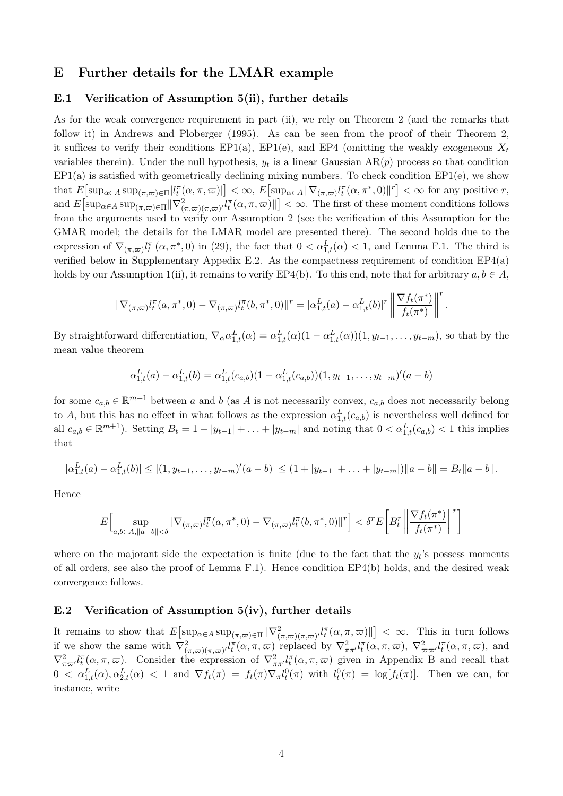# E Further details for the LMAR example

#### E.1 Verification of Assumption 5(ii), further details

As for the weak convergence requirement in part (ii), we rely on Theorem 2 (and the remarks that follow it) in Andrews and Ploberger (1995). As can be seen from the proof of their Theorem 2, it suffices to verify their conditions  $EP1(a)$ ,  $EP1(e)$ , and  $EP4$  (omitting the weakly exogeneous  $X<sub>t</sub>$ variables therein). Under the null hypothesis,  $y_t$  is a linear Gaussian  $AR(p)$  process so that condition  $EP1(a)$  is satisfied with geometrically declining mixing numbers. To check condition  $EP1(e)$ , we show that  $E[\sup_{\alpha \in A} \sup_{(\pi,\varpi) \in \Pi} |l_{t}^{\pi}(\alpha,\pi,\varpi)|] < \infty$ ,  $E[\sup_{\alpha \in A} ||\nabla_{(\pi,\varpi)}l_{t}^{\pi}(\alpha,\pi^*,0)||^r] < \infty$  for any positive r, and  $E[\sup_{\alpha \in A} \sup_{(\pi,\varpi) \in \Pi} ||\nabla^2_{(\pi,\varpi)(\pi,\varpi)} l_t^{\pi}(\alpha,\pi,\varpi)||] < \infty$ . The first of these moment conditions follows from the arguments used to verify our Assumption 2 (see the verification of this Assumption for the GMAR model; the details for the LMAR model are presented there). The second holds due to the expression of  $\nabla_{(\pi,\varpi)}l_i^{\pi} (\alpha,\pi^*,0)$  in (29), the fact that  $0 < \alpha_{1,t}^L(\alpha) < 1$ , and Lemma F.1. The third is verified below in Supplementary Appedix E.2. As the compactness requirement of condition EP4(a) holds by our Assumption 1(ii), it remains to verify EP4(b). To this end, note that for arbitrary  $a, b \in A$ ,

$$
\|\nabla_{(\pi,\varpi)}l_t^{\pi}(a,\pi^*,0) - \nabla_{(\pi,\varpi)}l_t^{\pi}(b,\pi^*,0)\|^r = |\alpha_{1,t}^L(a) - \alpha_{1,t}^L(b)|^r \left\|\frac{\nabla f_t(\pi^*)}{f_t(\pi^*)}\right\|^r.
$$

By straightforward differentiation,  $\nabla_{\alpha} \alpha_{1,t}^L(\alpha) = \alpha_{1,t}^L(\alpha)(1 - \alpha_{1,t}^L(\alpha))(1, y_{t-1}, \ldots, y_{t-m})$ , so that by the mean value theorem

$$
\alpha_{1,t}^{L}(a) - \alpha_{1,t}^{L}(b) = \alpha_{1,t}^{L}(c_{a,b})(1 - \alpha_{1,t}^{L}(c_{a,b}))(1, y_{t-1}, \dots, y_{t-m})'(a - b)
$$

for some  $c_{a,b} \in \mathbb{R}^{m+1}$  between *a* and *b* (as *A* is not necessarily convex,  $c_{a,b}$  does not necessarily belong to *A*, but this has no effect in what follows as the expression  $\alpha_{1,t}^L(c_{a,b})$  is nevertheless well defined for all  $c_{a,b} \in \mathbb{R}^{m+1}$ ). Setting  $B_t = 1 + |y_{t-1}| + \ldots + |y_{t-m}|$  and noting that  $0 < \alpha_{1,t}^L(c_{a,b}) < 1$  this implies that

$$
|\alpha_{1,t}^{L}(a)-\alpha_{1,t}^{L}(b)|\leq |(1,y_{t-1},\ldots,y_{t-m})'(a-b)|\leq (1+|y_{t-1}|+\ldots+|y_{t-m}|)\|a-b\|=B_t\|a-b\|.
$$

Hence

$$
E\Big[\sup_{a,b\in A,\|a-b\|<\delta}\|\nabla_{(\pi,\varpi)}l_t^\pi(a,\pi^*,0)-\nabla_{(\pi,\varpi)}l_t^\pi(b,\pi^*,0)\|^r\Big]<\delta^r E\bigg[B_t^r\bigg\|\frac{\nabla f_t(\pi^*)}{f_t(\pi^*)}\bigg\|^r\bigg]
$$

where on the majorant side the expectation is finite (due to the fact that the  $y_t$ 's possess moments of all orders, see also the proof of Lemma F.1). Hence condition EP4(b) holds, and the desired weak convergence follows.

## E.2 Verification of Assumption 5(iv), further details

It remains to show that  $E\left[\sup_{\alpha\in A} \sup_{(\pi,\varpi)\in\Pi} \|\nabla^2_{(\pi,\varpi)(\pi,\varpi)'} l_t^{\pi}(\alpha,\pi,\varpi)\|\right] < \infty$ . This in turn follows if we show the same with  $\nabla^2_{(\pi,\varpi)(\pi,\varpi)} l_t^{\pi}(\alpha,\pi,\varpi)$  replaced by  $\nabla^2_{\pi\pi'} l_t^{\pi}(\alpha,\pi,\varpi)$ ,  $\nabla^2_{\varpi\varpi'} l_t^{\pi}(\alpha,\pi,\varpi)$ , and  $\nabla^2_{\pi\pi'} l_l^{\pi}(\alpha,\pi,\varpi)$ . Consider the expression of  $\nabla^2_{\pi\pi'} l_l^{\pi}(\alpha,\pi,\varpi)$  given in Appendix B and recall that  $0 < \alpha_{1,t}^L(\alpha), \alpha_{2,t}^L(\alpha) < 1$  and  $\nabla f_t(\pi) = f_t(\pi) \nabla_\pi l_t^0(\pi)$  with  $l_t^0(\pi) = \log[f_t(\pi)]$ . Then we can, for instance, write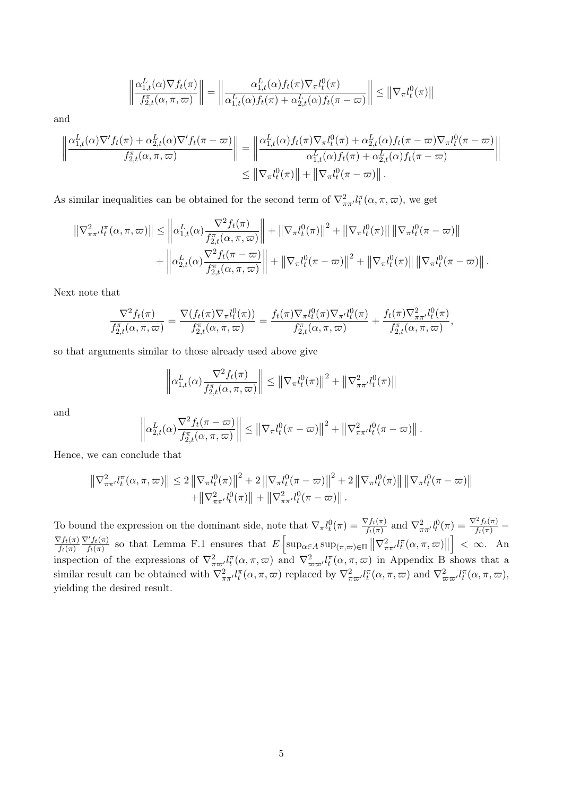$$
\left\|\frac{\alpha_{1,t}^L(\alpha)\nabla f_t(\pi)}{f_{2,t}^{\pi}(\alpha,\pi,\varpi)}\right\| = \left\|\frac{\alpha_{1,t}^L(\alpha)f_t(\pi)\nabla_{\pi}l_t^0(\pi)}{\alpha_{1,t}^L(\alpha)f_t(\pi) + \alpha_{2,t}^L(\alpha)f_t(\pi-\varpi)}\right\| \leq \left\|\nabla_{\pi}l_t^0(\pi)\right\|
$$

and

$$
\left\|\frac{\alpha_{1,t}^L(\alpha)\nabla' f_t(\pi) + \alpha_{2,t}^L(\alpha)\nabla' f_t(\pi - \varpi)}{f_{2,t}^{\pi}(\alpha, \pi, \varpi)}\right\| = \left\|\frac{\alpha_{1,t}^L(\alpha) f_t(\pi)\nabla_{\pi}l_t^0(\pi) + \alpha_{2,t}^L(\alpha)f_t(\pi - \varpi)\nabla_{\pi}l_t^0(\pi - \varpi)}{\alpha_{1,t}^L(\alpha)f_t(\pi) + \alpha_{2,t}^L(\alpha)f_t(\pi - \varpi)}\right\|
$$
  
\$\leq \|\nabla\_{\pi}l\_t^0(\pi)\| + \|\nabla\_{\pi}l\_t^0(\pi - \varpi)\|\$.

As similar inequalities can be obtained for the second term of  $\nabla^2_{\pi\pi'} l_t^{\pi}(\alpha, \pi, \varpi)$ , we get

$$
\left\| \nabla_{\pi\pi'}^2 l_t^{\pi}(\alpha, \pi, \varpi) \right\| \leq \left\| \alpha_{1,t}^L(\alpha) \frac{\nabla^2 f_t(\pi)}{f_{2,t}^{\pi}(\alpha, \pi, \varpi)} \right\| + \left\| \nabla_{\pi} l_t^0(\pi) \right\|^2 + \left\| \nabla_{\pi} l_t^0(\pi) \right\| \left\| \nabla_{\pi} l_t^0(\pi - \varpi) \right\| + \left\| \alpha_{2,t}^L(\alpha) \frac{\nabla^2 f_t(\pi - \varpi)}{f_{2,t}^{\pi}(\alpha, \pi, \varpi)} \right\| + \left\| \nabla_{\pi} l_t^0(\pi - \varpi) \right\|^2 + \left\| \nabla_{\pi} l_t^0(\pi) \right\| \left\| \nabla_{\pi} l_t^0(\pi - \varpi) \right\|.
$$

Next note that

$$
\frac{\nabla^2 f_t(\pi)}{f_{2,t}^{\pi}(\alpha,\pi,\varpi)} = \frac{\nabla(f_t(\pi)\nabla_{\pi}l_t^0(\pi))}{f_{2,t}^{\pi}(\alpha,\pi,\varpi)} = \frac{f_t(\pi)\nabla_{\pi}l_t^0(\pi)\nabla_{\pi'}l_t^0(\pi)}{f_{2,t}^{\pi}(\alpha,\pi,\varpi)} + \frac{f_t(\pi)\nabla_{\pi\pi'}^2l_t^0(\pi)}{f_{2,t}^{\pi}(\alpha,\pi,\varpi)},
$$

so that arguments similar to those already used above give

$$
\left\|\alpha_{1,t}^L(\alpha)\frac{\nabla^2 f_t(\pi)}{f_{2,t}^{\pi}(\alpha,\pi,\varpi)}\right\| \leq \left\|\nabla_{\pi}l_t^0(\pi)\right\|^2 + \left\|\nabla^2_{\pi\pi'}l_t^0(\pi)\right\|
$$

and

$$
\left\|\alpha_{2,t}^L(\alpha)\frac{\nabla^2 f_t(\pi-\varpi)}{f_{2,t}^{\pi}(\alpha,\pi,\varpi)}\right\| \leq \left\|\nabla_{\pi}l_t^0(\pi-\varpi)\right\|^2 + \left\|\nabla_{\pi\pi}^2l_t^0(\pi-\varpi)\right\|.
$$

Hence, we can conclude that

$$
\left\| \nabla_{\pi\pi'}^2 l_t^{\pi}(\alpha, \pi, \varpi) \right\| \leq 2 \left\| \nabla_{\pi} l_t^0(\pi) \right\|^2 + 2 \left\| \nabla_{\pi} l_t^0(\pi - \varpi) \right\|^2 + 2 \left\| \nabla_{\pi} l_t^0(\pi) \right\| \left\| \nabla_{\pi} l_t^0(\pi - \varpi) \right\| + \left\| \nabla_{\pi\pi'}^2 l_t^0(\pi) \right\| + \left\| \nabla_{\pi\pi'}^2 l_t^0(\pi - \varpi) \right\|.
$$

To bound the expression on the dominant side, note that  $\nabla_{\pi} l_t^0(\pi) = \frac{\nabla f_t(\pi)}{f_t(\pi)}$  and  $\nabla_{\pi}^2 l_t^0(\pi) = \frac{\nabla^2 f_t(\pi)}{f_t(\pi)}$  $\frac{\nabla f_t(\pi)}{f_t(\pi)} \frac{\nabla' f_t(\pi)}{f_t(\pi)}$  so that Lemma F.1 ensures that  $E\left[\sup_{\alpha \in A} \sup_{(\pi,\varpi) \in \Pi} \left\|\nabla^2_{\pi\pi'} l_t^{\pi}(\alpha,\pi,\varpi)\right\|\right]$  $\Big] < \infty$ . An inspection of the expressions of  $\nabla^2_{\pi\omega'}l^{\pi}_t(\alpha,\pi,\omega)$  and  $\nabla^2_{\omega\omega'}l^{\pi}_t(\alpha,\pi,\omega)$  in Appendix B shows that a similar result can be obtained with  $\nabla_{\pi\pi'}^2 l_t^{\pi}(\alpha, \pi, \varpi)$  replaced by  $\nabla_{\pi\varpi'}^2 l_t^{\pi}(\alpha, \pi, \varpi)$  and  $\nabla_{\varpi\varpi'}^2 l_t^{\pi}(\alpha, \pi, \varpi)$ , yielding the desired result.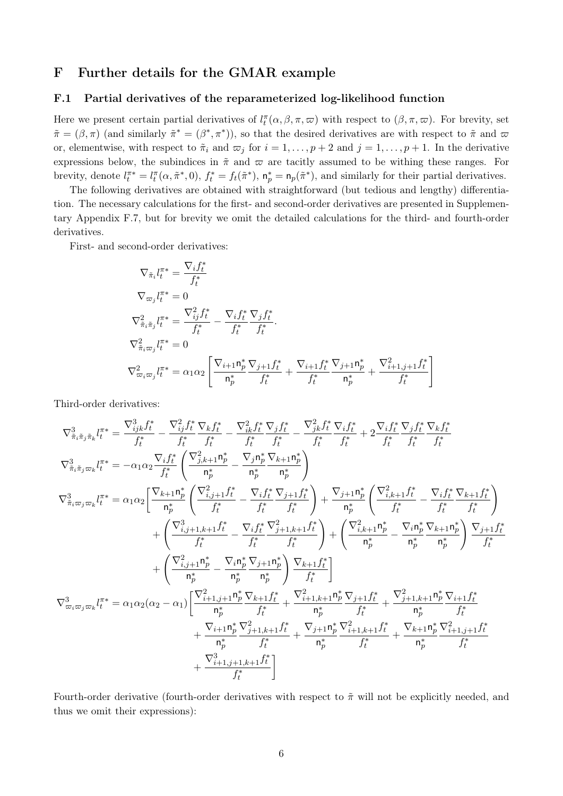# F Further details for the GMAR example

## F.1 Partial derivatives of the reparameterized log-likelihood function

Here we present certain partial derivatives of  $l_t^{\pi}(\alpha, \beta, \pi, \varpi)$  with respect to  $(\beta, \pi, \varpi)$ . For brevity, set  $\tilde{\pi} = (\beta, \pi)$  (and similarly  $\tilde{\pi}^* = (\beta^*, \pi^*)$ ), so that the desired derivatives are with respect to  $\tilde{\pi}$  and  $\varpi$ or, elementwise, with respect to  $\tilde{\pi}_i$  and  $\varpi_j$  for  $i = 1, \ldots, p+2$  and  $j = 1, \ldots, p+1$ . In the derivative expressions below, the subindices in  $\tilde{\pi}$  and  $\varpi$  are tacitly assumed to be withing these ranges. For brevity, denote  $l_t^{\pi*} = l_t^{\pi}(\alpha, \tilde{\pi}^*, 0)$ ,  $f_t^* = f_t(\tilde{\pi}^*)$ ,  $\mathsf{n}_p^* = \mathsf{n}_p(\tilde{\pi}^*)$ , and similarly for their partial derivatives.

The following derivatives are obtained with straightforward (but tedious and lengthy) differentiation. The necessary calculations for the first- and second-order derivatives are presented in Supplementary Appendix F.7, but for brevity we omit the detailed calculations for the third- and fourth-order derivatives.

First- and second-order derivatives:

$$
\nabla_{\tilde{\pi}_{i}} l_{t}^{\pi*} = \frac{\nabla_{i} f_{t}^{*}}{f_{t}^{*}} \n\nabla_{\varpi_{j}} l_{t}^{\pi*} = 0 \n\nabla_{\tilde{\pi}_{i} \tilde{\pi}_{j}} l_{t}^{\pi*} = \frac{\nabla_{ij}^{2} f_{t}^{*}}{f_{t}^{*}} - \frac{\nabla_{i} f_{t}^{*}}{f_{t}^{*}} \frac{\nabla_{j} f_{t}^{*}}{f_{t}^{*}} \n\nabla_{\tilde{\pi}_{i} \varpi_{j}}^{2} l_{t}^{\pi*} = 0 \n\nabla_{\varpi_{i} \varpi_{j}}^{2} l_{t}^{\pi*} = \alpha_{1} \alpha_{2} \left[ \frac{\nabla_{i+1} \mathbf{n}_{p}^{*}}{\mathbf{n}_{p}^{*}} \frac{\nabla_{j+1} f_{t}^{*}}{f_{t}^{*}} + \frac{\nabla_{i+1} f_{t}^{*}}{f_{t}^{*}} \frac{\nabla_{j+1} \mathbf{n}_{p}^{*}}{\mathbf{n}_{p}^{*}} + \frac{\nabla_{i+1, j+1}^{2} f_{t}^{*}}{f_{t}^{*}} \right]
$$

Third-order derivatives:

$$
\begin{split} \nabla^3_{\tilde{\pi}_t \tilde{\pi}_j \tilde{\pi}_k} l^{ \pi \ast }_t = \frac{\nabla^3_{ij} k f^*}{f^*_t} - \frac{\nabla^2_{ij} f^*_t}{f^*_t} \frac{\nabla_k f^*_t}{f^*_t} - \frac{\nabla^2_{ik} f^*_t}{f^*_t} \frac{\nabla_j f^*_t}{f^*_t} \frac{\nabla_j f^*_t}{f^*_t} \frac{\nabla_i f^*_t}{f^*_t} + 2 \frac{\nabla_i f^*_t}{f^*_t} \frac{\nabla_j f^*_t}{f^*_t} \frac{\nabla_k f^*_t}{f^*_t} \\ \nabla^3_{\tilde{\pi}_i \tilde{\pi}_j \varpi_k} l^{ \pi \ast }_t = - \alpha_1 \alpha_2 \frac{\nabla_i f^*_t}{f^*_t} \left( \frac{\nabla^2_{j,k+1} n^*_p}{n^*_p} - \frac{\nabla_j n^*_p}{n^*_p} \frac{\nabla_{k+1} n^*_p}{n^*_p} \right) \\ \nabla^3_{\tilde{\pi}_i \varpi_j \varpi_k} l^{ \pi \ast }_t = \alpha_1 \alpha_2 \left[ \frac{\nabla_{k+1} n^*_p}{n^*_p} \left( \frac{\nabla^2_{i,j+1} f^*_t}{f^*_t} - \frac{\nabla_i f^*_t}{f^*_t} \frac{\nabla_{j+1} f^*_t}{f^*_t} \right) + \frac{\nabla_{j+1} n^*_p}{n^*_p} \left( \frac{\nabla^2_{i,k+1} f^*_t}{f^*_t} - \frac{\nabla_i f^*_t}{f^*_t} \frac{\nabla_{j+1} f^*_t}{f^*_t} \right) \\ + \left( \frac{\nabla^2_{i,j+1,k+1} f^*_t}{f^*_t} - \frac{\nabla_i f^*_t}{f^*_t} \frac{\nabla_{j+1} n^*_p}{f^*_t} \right) + \left( \frac{\nabla^2_{k,k+1} n^*_p}{n^*_p} - \frac{\nabla_i n^*_p}{n^*_p} \frac{\nabla_{k+1} n^*_p}{n^*_t} \right) \\ \nabla^3_{\varpi_i \varpi_j \varpi_k} l^{ \pi \ast
$$

Fourth-order derivative (fourth-order derivatives with respect to  $\tilde{\pi}$  will not be explicitly needed, and thus we omit their expressions):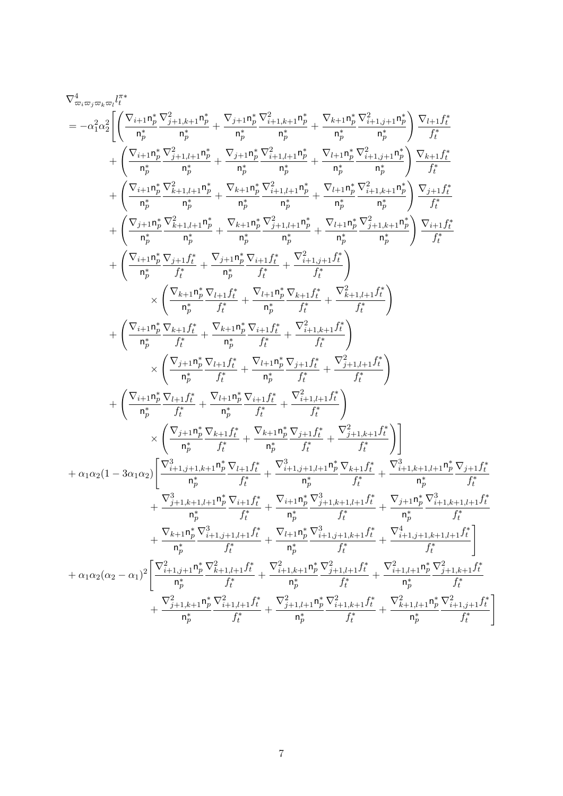$$
\begin{split} \nabla^{\mathbf{d}}_{\mathbf{m},\mathbf{w},\mathbf{w},\mathbf{w}} \mathbf{r}_{i}^{\mathsf{T}*} \\ \n= & -\alpha_{1}^{2}\alpha_{2}^{2}\bigg[\bigg(\frac{\nabla_{i+1}\mathbf{n}_{p}^{*}}{n_{p}^{*}}\frac{\nabla_{j+1,k+1}^{2}}{n_{p}^{*}} + \frac{\nabla_{j+1}\mathbf{n}_{p}^{*}}{n_{p}^{*}}\frac{\nabla_{j+1,k+1}^{2}}{n_{p}^{*}} + \frac{\nabla_{k+1}\mathbf{n}_{p}^{*}}{n_{p}^{*}}\frac{\nabla_{j+1,j+1}^{2}}{n_{p}^{*}}\frac{\nabla_{j+1,j+1}^{2}}{n_{p}^{*}}\frac{\nabla_{j+1,j+1}^{2}}{n_{p}^{*}}\frac{\nabla_{j+1,j+1}^{2}}{n_{p}^{*}}\frac{\nabla_{j+1,j+1}^{2}}{n_{p}^{*}}\frac{\nabla_{j+1,j+1}^{2}}{n_{p}^{*}}\frac{\nabla_{j+1,j+1}^{2}}{n_{p}^{*}}\frac{\nabla_{j+1,j+1}^{2}}{n_{p}^{*}}\frac{\nabla_{j+1,j+1}^{2}}{n_{p}^{*}}\frac{\nabla_{j+1,j+1}^{2}}{n_{p}^{*}}\frac{\nabla_{j+1,j+1}^{2}}{n_{p}^{*}}\frac{\nabla_{j+1,k+1}^{2}}{n_{p}^{*}}\frac{\nabla_{j+1,k+1}^{2}}{n_{p}^{*}}\frac{\nabla_{j+1,k+1}^{2}}{n_{p}^{*}}\frac{\nabla_{j+1,k+1}^{2}}{n_{p}^{*}}\frac{\nabla_{j+1,k+1}^{2}}{n_{p}^{*}}\frac{\nabla_{j+1,k+1}^{2}}{n_{p}^{*}}\frac{\nabla_{j+1,k+1}^{2}}{n_{p}^{*}}\frac{\nabla_{j+1,k+1}^{2}}{n_{p}^{*}}\frac{\nabla_{j+1,k+1}^{2}}{n_{p}^{*}}\frac{\nabla_{j+1,k+1}^{2}}{n_{p}^{*}}\frac{\nabla_{j+1,k+1}^{2}}
$$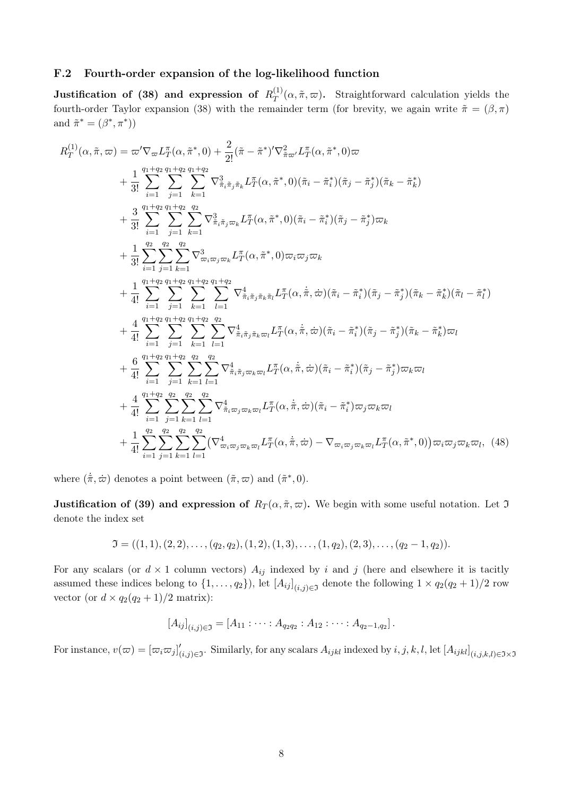#### F.2 Fourth-order expansion of the log-likelihood function

**Justification of (38) and expression of**  $R_T^{(1)}(a, \tilde{\pi}, \varpi)$ . Straightforward calculation yields the fourth-order Taylor expansion (38) with the remainder term (for brevity, we again write  $\tilde{\pi} = (\beta, \pi)$ and  $\tilde{\pi}^* = (\beta^*, \pi^*)$ 

$$
R_{T}^{(1)}(\alpha, \tilde{\pi}, \varpi) = \varpi' \nabla_{\varpi} L_{T}^{\pi}(\alpha, \tilde{\pi}^{*}, 0) + \frac{2}{2!} (\tilde{\pi} - \tilde{\pi}^{*})' \nabla_{\tilde{\pi}\varpi'}^{2} L_{T}^{\pi}(\alpha, \tilde{\pi}^{*}, 0) \varpi + \frac{1}{3!} \sum_{i=1}^{n_{1}+n_{2}} \sum_{j=1}^{n_{1}+n_{2}} \sum_{k=1}^{n_{3}+n_{3}} \nabla_{\tilde{\pi}_{i}\tilde{\pi}_{j}\tilde{\pi}_{k}}^{3} L_{T}^{\pi}(\alpha, \tilde{\pi}^{*}, 0) (\tilde{\pi}_{i} - \tilde{\pi}_{i}^{*}) (\tilde{\pi}_{j} - \tilde{\pi}_{j}^{*}) (\tilde{\pi}_{k} - \tilde{\pi}_{k}^{*}) + \frac{3}{3!} \sum_{i=1}^{n_{1}+n_{2}} \sum_{j=1}^{n_{1}+n_{2}} \sum_{k=1}^{n_{2}} \nabla_{\tilde{\pi}_{i}\tilde{\pi}_{j}\varpi_{k}}^{3} L_{T}^{\pi}(\alpha, \tilde{\pi}^{*}, 0) (\tilde{\pi}_{i} - \tilde{\pi}_{i}^{*}) (\tilde{\pi}_{j} - \tilde{\pi}_{j}^{*}) \varpi_{k} + \frac{1}{3!} \sum_{i=1}^{n_{2}} \sum_{j=1}^{n_{2}} \sum_{k=1}^{n_{2}} \nabla_{\tilde{\pi}_{i}\varpi_{j}\varpi_{k}}^{3} L_{T}^{\pi}(\alpha, \tilde{\pi}^{*}, 0) \varpi_{i}\varpi_{j}\varpi_{k} + \frac{1}{4!} \sum_{i=1}^{n_{1}+n_{2}} \sum_{j=1}^{n_{1}+n_{2}} \sum_{k=1}^{n_{1}+n_{2}} \sum_{l=1}^{n_{1}+n_{2}} \nabla_{\tilde{\pi}_{i}\tilde{\pi}_{j}\tilde{\pi}_{k}\tilde{\pi}_{l}}^{4} L_{T}^{\pi}(\alpha, \dot{\tilde{\pi}}, \dot{\varpi}) (\tilde{\pi}_{i} - \tilde{\pi}_{i}^{*}) (\tilde{\pi}_{j} - \tilde{\pi}_{j}^{*}) (\tilde{\pi}_{k} - \
$$

where  $(\dot{\tilde{\pi}}, \dot{\varpi})$  denotes a point between  $(\tilde{\pi}, \varpi)$  and  $(\tilde{\pi}^*, 0)$ .

**Justification of (39) and expression of**  $R_T(\alpha, \tilde{\pi}, \varpi)$ . We begin with some useful notation. Let  $\mathfrak I$ denote the index set

$$
\mathfrak{I} = ((1,1),(2,2),\ldots,(q_2,q_2),(1,2),(1,3),\ldots,(1,q_2),(2,3),\ldots,(q_2-1,q_2)).
$$

For any scalars (or  $d \times 1$  column vectors)  $A_{ij}$  indexed by *i* and *j* (here and elsewhere it is tacitly assumed these indices belong to  $\{1, \ldots, q_2\}$ , let  $[A_{ij}]_{(i,j)\in\mathfrak{I}}$  denote the following  $1 \times q_2(q_2+1)/2$  row vector (or  $d \times q_2(q_2 + 1)/2$  matrix):

$$
[A_{ij}]_{(i,j)\in\mathfrak{I}}=[A_{11}:\cdots:A_{q_2q_2}:A_{12}:\cdots:A_{q_2-1,q_2}].
$$

For instance,  $v(\varpi) = [\varpi_i \varpi_j]'_{(i,j)\in\mathfrak{I}}$ . Similarly, for any scalars  $A_{ijkl}$  indexed by  $i, j, k, l$ , let  $[A_{ijkl}]_{(i,j,k,l)\in\mathfrak{I}\times\mathfrak{I}}$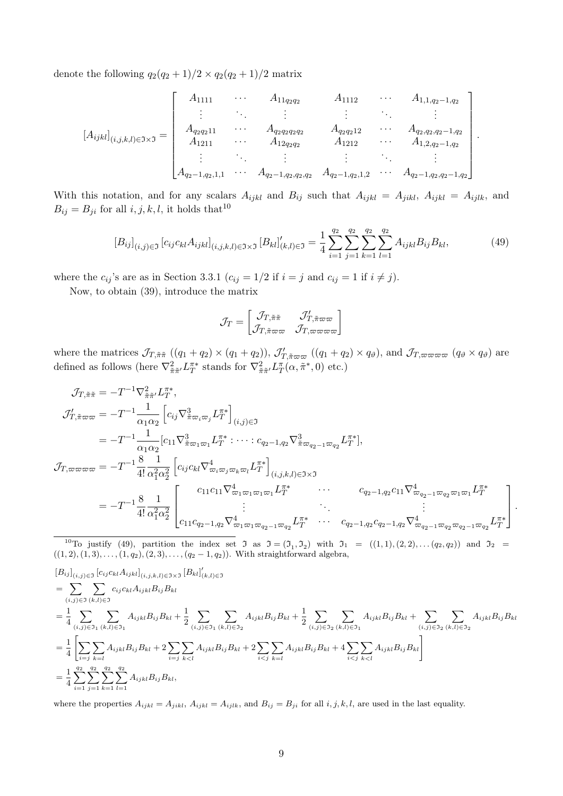denote the following  $q_2(q_2+1)/2 \times q_2(q_2+1)/2$  matrix

$$
[A_{ijkl}]_{(i,j,k,l)\in\Im\times\Im} = \begin{bmatrix} A_{1111} & \cdots & A_{11q_2q_2} & A_{1112} & \cdots & A_{1,1,q_2-1,q_2} \\ \vdots & \vdots & \vdots & \vdots & \vdots \\ A_{q_2q_211} & \cdots & A_{q_2q_2q_2q_2} & A_{q_2q_212} & \cdots & A_{q_2,q_2,q_2-1,q_2} \\ A_{1211} & \cdots & A_{12q_2q_2} & A_{1212} & \cdots & A_{1,2,q_2-1,q_2} \\ \vdots & \vdots & \vdots & \vdots & \vdots & \vdots \\ A_{q_2-1,q_2,1,1} & \cdots & A_{q_2-1,q_2,q_2,q_2} & A_{q_2-1,q_2,1,2} & \cdots & A_{q_2-1,q_2,q_2-1,q_2} \end{bmatrix}.
$$

With this notation, and for any scalars  $A_{ijkl}$  and  $B_{ij}$  such that  $A_{ijkl} = A_{jikl}$ ,  $A_{ijkl} = A_{ijlk}$ , and  $B_{ij} = B_{ji}$  for all  $i, j, k, l$ , it holds that<sup>10</sup>

$$
[B_{ij}]_{(i,j)\in\Im} [c_{ij}c_{kl}A_{ijkl}]_{(i,j,k,l)\in\Im\times\Im} [B_{kl}]'_{(k,l)\in\Im} = \frac{1}{4} \sum_{i=1}^{q_2} \sum_{j=1}^{q_2} \sum_{k=1}^{q_2} \sum_{l=1}^{q_2} A_{ijkl}B_{ij}B_{kl},\tag{49}
$$

where the  $c_{ij}$ 's are as in Section 3.3.1 ( $c_{ij} = 1/2$  if  $i = j$  and  $c_{ij} = 1$  if  $i \neq j$ ).

Now, to obtain (39), introduce the matrix

$$
\mathcal{J}_T = \begin{bmatrix} \mathcal{J}_{T, \tilde{\pi} \tilde{\pi}} & \mathcal{J}_{T, \tilde{\pi} \varpi \varpi} \\ \mathcal{J}_{T, \tilde{\pi} \varpi \varpi} & \mathcal{J}_{T, \varpi \varpi \varpi \varpi} \end{bmatrix}
$$

where the matrices  $\mathcal{J}_{T,\tilde{\pi}\tilde{\pi}}((q_1+q_2)\times(q_1+q_2)), \mathcal{J}'_{T,\tilde{\pi}\varpi\varpi}((q_1+q_2)\times q_{\vartheta})$ , and  $\mathcal{J}_{T,\varpi\varpi\varpi\varpi}((q_\vartheta\times q_\vartheta))$  are defined as follows (here  $\nabla_{\tilde{\pi}\tilde{\pi}'}^2 L_T^{\pi*}$  stands for  $\nabla_{\tilde{\pi}\tilde{\pi}'}^2 L_T^{\pi}(\alpha, \tilde{\pi}^*, 0)$  etc.)

$$
\begin{split}\n\mathcal{J}_{T,\tilde{\pi}\tilde{\pi}} &= -T^{-1}\nabla_{\tilde{\pi}\tilde{\pi}'}^2 L_T^{\pi*}, \\
\mathcal{J}_{T,\tilde{\pi}\omega\omega} &= -T^{-1}\frac{1}{\alpha_1\alpha_2} \left[ c_{ij}\nabla_{\tilde{\pi}\omega_i\omega_j}^3 L_T^{\pi*} \right]_{(i,j)\in\mathfrak{I}} \\
&= -T^{-1}\frac{1}{\alpha_1\alpha_2} [c_{11}\nabla_{\tilde{\pi}\omega_1\omega_1}^3 L_T^{\pi*} : \cdots : c_{q_2-1,q_2}\nabla_{\tilde{\pi}\omega_{q_2-1}\omega_{q_2}}^3 L_T^{\pi*}], \\
\mathcal{J}_{T,\omega\omega\omega\omega} &= -T^{-1}\frac{8}{4!} \frac{1}{\alpha_1^2\alpha_2^2} \left[ c_{ij}c_{kl}\nabla_{\omega_i\omega_j\omega_k\omega_l}^4 L_T^{\pi*} \right]_{(i,j,k,l)\in\mathfrak{I}\times\mathfrak{I}} \\
&= -T^{-1}\frac{8}{4!} \frac{1}{\alpha_1^2\alpha_2^2} \left[ \begin{matrix} c_{11}c_{11}\nabla_{\omega_1\omega_1\omega_1\omega_1}^4 L_T^{\pi*} & \cdots & c_{q_2-1,q_2}c_{11}\nabla_{\omega_{q_2-1}\omega_{q_2}\omega_1\omega_1}^4 L_T^{\pi*} \\ \vdots & \vdots & \vdots \\ c_{11}c_{q_2-1,q_2}\nabla_{\omega_1\omega_1\omega_{q_2-1}\omega_{q_2}}^4 L_T^{\pi*} & \cdots & c_{q_2-1,q_2}c_{q_2-1,q_2}\nabla_{\omega_{q_2-1}\omega_{q_2}\omega_{q_2-1}\omega_{q_2}}^4 L_T^{\pi*} \end{matrix} \right].\n\end{split}
$$

<sup>10</sup>To justify (49), partition the index set  $\Im$  as  $\Im = (\Im_1, \Im_2)$  with  $\Im_1 = ((1,1), (2,2), \ldots (q_2, q_2))$  and  $\Im_2 =$  $((1, 2), (1, 3), \ldots, (1, q_2), (2, 3), \ldots, (q_2 - 1, q_2)$ . With straightforward algebra,

$$
[B_{ij}]_{(i,j)\in\Im} [c_{ij}c_{kl}A_{ijkl}]_{(i,j,k,l)\in\Im\Im} [B_{kl}]'_{(k,l)\in\Im}
$$
  
\n
$$
= \sum_{(i,j)\in\Im} \sum_{(k,l)\in\Im} c_{ij}c_{kl}A_{ijkl}B_{ij}B_{kl}
$$
  
\n
$$
= \frac{1}{4} \sum_{(i,j)\in\Im_1} \sum_{(k,l)\in\Im_1} A_{ijkl}B_{ij}B_{kl} + \frac{1}{2} \sum_{(i,j)\in\Im_1} \sum_{(k,l)\in\Im_2} A_{ijkl}B_{ij}B_{kl} + \frac{1}{2} \sum_{(i,j)\in\Im_2} \sum_{(k,l)\in\Im_1} A_{ijkl}B_{ij}B_{kl} + \sum_{(i,j)\in\Im_2} \sum_{(k,l)\in\Im_2} A_{ijkl}B_{ij}B_{kl}
$$
  
\n
$$
= \frac{1}{4} \left[ \sum_{i=j} \sum_{k=l} A_{ijkl}B_{ij}B_{kl} + 2 \sum_{i=j} \sum_{k  
\n
$$
= \frac{1}{4} \sum_{i=1}^{q_2} \sum_{j=1}^{q_2} \sum_{k=1}^{q_2} \sum_{l=1}^{q_2} A_{ijkl}B_{ij}B_{kl},
$$
$$

where the properties  $A_{ijkl} = A_{jikl}$ ,  $A_{ijkl} = A_{ijlk}$ , and  $B_{ij} = B_{ji}$  for all  $i, j, k, l$ , are used in the last equality.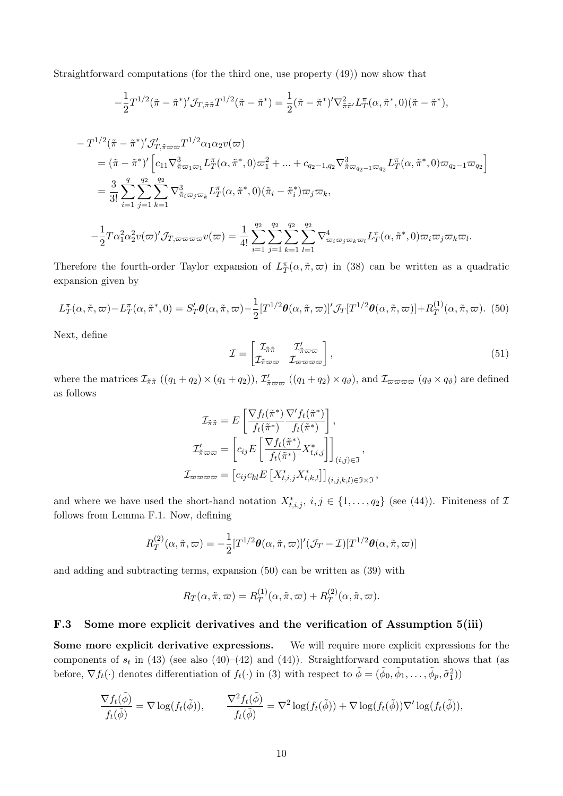Straightforward computations (for the third one, use property (49)) now show that

$$
-\frac{1}{2}T^{1/2}(\tilde{\pi}-\tilde{\pi}^*)'J_{T,\tilde{\pi}\tilde{\pi}}T^{1/2}(\tilde{\pi}-\tilde{\pi}^*) = \frac{1}{2}(\tilde{\pi}-\tilde{\pi}^*)'\nabla_{\tilde{\pi}\tilde{\pi}'}^2L_T^{\pi}(\alpha,\tilde{\pi}^*,0)(\tilde{\pi}-\tilde{\pi}^*),
$$

$$
- T^{1/2} (\tilde{\pi} - \tilde{\pi}^*)' \mathcal{J}'_{T, \tilde{\pi}\varpi\varpi} T^{1/2} \alpha_1 \alpha_2 v(\varpi)
$$
  
\n
$$
= (\tilde{\pi} - \tilde{\pi}^*)' \left[ c_{11} \nabla_{\tilde{\pi}\varpi_1 \varpi_1}^3 L_T^{\pi}(\alpha, \tilde{\pi}^*, 0) \varpi_1^2 + \dots + c_{q_2 - 1, q_2} \nabla_{\tilde{\pi}\varpi_{q_2 - 1} \varpi_{q_2}}^3 L_T^{\pi}(\alpha, \tilde{\pi}^*, 0) \varpi_{q_2 - 1} \varpi_{q_2} \right]
$$
  
\n
$$
= \frac{3}{3!} \sum_{i=1}^q \sum_{j=1}^{q_2} \sum_{k=1}^{q_2} \nabla_{\tilde{\pi}_i \varpi_j \varpi_k}^3 L_T^{\pi}(\alpha, \tilde{\pi}^*, 0) (\tilde{\pi}_i - \tilde{\pi}_i^*) \varpi_j \varpi_k,
$$
  
\n
$$
- \frac{1}{2} T \alpha_1^2 \alpha_2^2 v(\varpi)' \mathcal{J}_{T, \varpi\varpi\varpi\varpi} v(\varpi) = \frac{1}{4!} \sum_{i=1}^{q_2} \sum_{j=1}^{q_2} \sum_{k=1}^{q_2} \sum_{l=1}^{q_2} \nabla_{\varpi_i \varpi_j \varpi_k \varpi_l}^4 L_T^{\pi}(\alpha, \tilde{\pi}^*, 0) \varpi_i \varpi_j \varpi_k \varpi_l.
$$

Therefore the fourth-order Taylor expansion of  $L_T^{\pi}(\alpha, \tilde{\pi}, \varpi)$  in (38) can be written as a quadratic expansion given by

$$
L_T^{\pi}(\alpha, \tilde{\pi}, \varpi) - L_T^{\pi}(\alpha, \tilde{\pi}^*, 0) = S'_T \boldsymbol{\theta}(\alpha, \tilde{\pi}, \varpi) - \frac{1}{2} [T^{1/2} \boldsymbol{\theta}(\alpha, \tilde{\pi}, \varpi)]' \mathcal{J}_T[T^{1/2} \boldsymbol{\theta}(\alpha, \tilde{\pi}, \varpi)] + R_T^{(1)}(\alpha, \tilde{\pi}, \varpi).
$$
 (50)

Next, define

$$
\mathcal{I} = \begin{bmatrix} \mathcal{I}_{\tilde{\pi}\tilde{\pi}} & \mathcal{I}'_{\tilde{\pi}\varpi\varpi} \\ \mathcal{I}_{\tilde{\pi}\varpi\varpi} & \mathcal{I}_{\varpi\varpi\varpi\varpi} \end{bmatrix},\tag{51}
$$

where the matrices  $\mathcal{I}_{\tilde{\pi}\tilde{\pi}}((q_1+q_2)\times(q_1+q_2)), \mathcal{I}_{\tilde{\pi}\varpi\varpi}^{\prime}((q_1+q_2)\times q_{\vartheta})$ , and  $\mathcal{I}_{\varpi\varpi\varpi\varpi}(q_{\vartheta}\times q_{\vartheta})$  are defined as follows

$$
\mathcal{I}_{\tilde{\pi}\tilde{\pi}} = E\left[\frac{\nabla f_t(\tilde{\pi}^*)}{f_t(\tilde{\pi}^*)} \frac{\nabla' f_t(\tilde{\pi}^*)}{f_t(\tilde{\pi}^*)}\right],
$$
\n
$$
\mathcal{I}'_{\tilde{\pi}\varpi\varpi} = \left[c_{ij}E\left[\frac{\nabla f_t(\tilde{\pi}^*)}{f_t(\tilde{\pi}^*)} X^*_{t,i,j}\right]\right]_{(i,j)\in\mathfrak{I}},
$$
\n
$$
\mathcal{I}_{\varpi\varpi\varpi\varpi} = \left[c_{ij}c_{kl}E\left[X^*_{t,i,j} X^*_{t,k,l}\right]\right]_{(i,j,k,l)\in\mathfrak{I}\times\mathfrak{I}},
$$

and where we have used the short-hand notation  $X^*_{t,i,j}$ ,  $i,j \in \{1,\ldots,q_2\}$  (see (44)). Finiteness of *I* follows from Lemma F.1. Now, defining

$$
R_T^{(2)}(\alpha, \tilde{\pi}, \varpi) = -\frac{1}{2} [T^{1/2} \boldsymbol{\theta}(\alpha, \tilde{\pi}, \varpi)]' (\mathcal{J}_T - \mathcal{I}) [T^{1/2} \boldsymbol{\theta}(\alpha, \tilde{\pi}, \varpi)]
$$

and adding and subtracting terms, expansion (50) can be written as (39) with

$$
R_T(\alpha, \tilde{\pi}, \varpi) = R_T^{(1)}(\alpha, \tilde{\pi}, \varpi) + R_T^{(2)}(\alpha, \tilde{\pi}, \varpi).
$$

#### F.3 Some more explicit derivatives and the verification of Assumption 5(iii)

Some more explicit derivative expressions. We will require more explicit expressions for the components of  $s_t$  in (43) (see also (40)–(42) and (44)). Straightforward computation shows that (as before,  $\nabla f_t(\cdot)$  denotes differentiation of  $f_t(\cdot)$  in (3) with respect to  $\tilde{\phi} = (\tilde{\phi}_0, \tilde{\phi}_1, \dots, \tilde{\phi}_p, \tilde{\sigma}_1^2)$ 

$$
\frac{\nabla f_t(\tilde{\phi})}{f_t(\tilde{\phi})} = \nabla \log(f_t(\tilde{\phi})), \qquad \frac{\nabla^2 f_t(\tilde{\phi})}{f_t(\tilde{\phi})} = \nabla^2 \log(f_t(\tilde{\phi})) + \nabla \log(f_t(\tilde{\phi})) \nabla' \log(f_t(\tilde{\phi})),
$$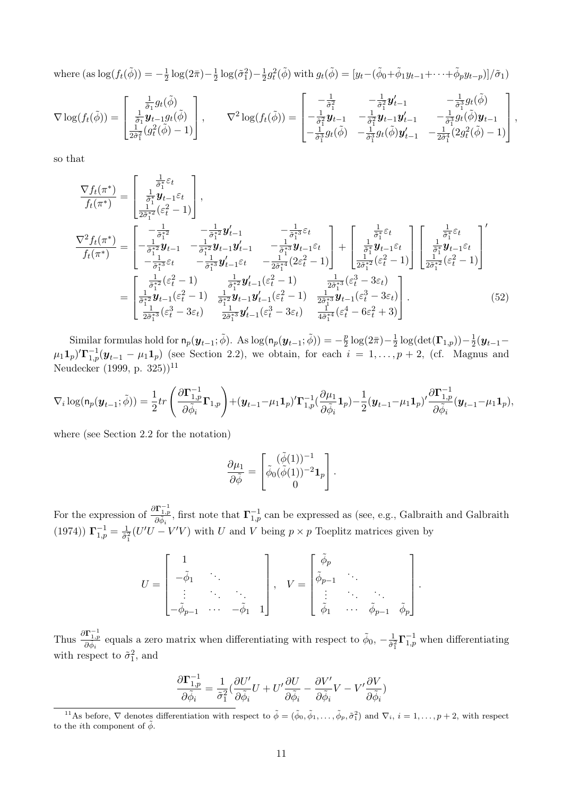where  $(\text{as } \log(f_t(\tilde{\phi})) = -\frac{1}{2} \log(2\pi) - \frac{1}{2} \log(\tilde{\sigma}_1^2) - \frac{1}{2} g_t^2(\tilde{\phi})$  with  $g_t(\tilde{\phi}) = [y_t - (\tilde{\phi}_0 + \tilde{\phi}_1 y_{t-1} + \cdots + \tilde{\phi}_p y_{t-p})]/\tilde{\sigma}_1)$ 

$$
\nabla \log(f_t(\tilde{\phi})) = \begin{bmatrix} \frac{1}{\tilde{\sigma}_1} g_t(\tilde{\phi}) \\ \frac{1}{\tilde{\sigma}_1} \mathbf{y}_{t-1} g_t(\tilde{\phi}) \\ \frac{1}{2\tilde{\sigma}_1^2} (g_t^2(\tilde{\phi}) - 1) \end{bmatrix}, \qquad \nabla^2 \log(f_t(\tilde{\phi})) = \begin{bmatrix} -\frac{1}{\tilde{\sigma}_1^2} & -\frac{1}{\tilde{\sigma}_1^2} \mathbf{y}_{t-1} & -\frac{1}{\tilde{\sigma}_1^3} g_t(\tilde{\phi}) \\ -\frac{1}{\tilde{\sigma}_1^2} \mathbf{y}_{t-1} & -\frac{1}{\tilde{\sigma}_1^2} \mathbf{y}_{t-1} \mathbf{y}_{t-1}' & -\frac{1}{\tilde{\sigma}_1^3} g_t(\tilde{\phi}) \mathbf{y}_{t-1} \\ -\frac{1}{\tilde{\sigma}_1^3} g_t(\tilde{\phi}) & -\frac{1}{\tilde{\sigma}_1^3} g_t(\tilde{\phi}) \mathbf{y}_{t-1}' & -\frac{1}{2\tilde{\sigma}_1^4} (2g_t^2(\tilde{\phi}) - 1) \end{bmatrix},
$$

so that

$$
\frac{\nabla f_t(\pi^*)}{f_t(\pi^*)} = \begin{bmatrix} \frac{1}{\sigma_1^*} \mathcal{E}_t \\ \frac{1}{2\sigma_1^*} (e_t^2 - 1) \\ \frac{1}{2\sigma_1^*} (e_t^2 - 1) \end{bmatrix},
$$
\n
$$
\frac{\nabla^2 f_t(\pi^*)}{f_t(\pi^*)} = \begin{bmatrix} -\frac{1}{\sigma_1^*2} & -\frac{1}{\sigma_1^*2} \mathbf{y}_{t-1} & -\frac{1}{\sigma_1^*3} \mathcal{E}_t \\ -\frac{1}{\sigma_1^*2} \mathbf{y}_{t-1} & -\frac{1}{\sigma_1^*2} \mathbf{y}_{t-1} \mathbf{y}_{t-1} & -\frac{1}{\sigma_1^*3} \mathbf{y}_{t-1} \mathcal{E}_t \\ -\frac{1}{\sigma_1^*3} \mathcal{E}_t & -\frac{1}{\sigma_1^*3} \mathbf{y}_{t-1} \mathcal{E}_t & -\frac{1}{2\sigma_1^*4} (2\varepsilon_t^2 - 1) \end{bmatrix} + \begin{bmatrix} \frac{1}{\sigma_1^*} \mathcal{E}_t \\ \frac{1}{\sigma_1^*} \mathcal{E}_t \\ \frac{1}{2\sigma_1^*2} (e_t^2 - 1) \end{bmatrix} \begin{bmatrix} \frac{1}{\sigma_1^*} \mathcal{E}_t \\ \frac{1}{\sigma_1^*} (e_t^2 - 1) \end{bmatrix}
$$
\n
$$
= \begin{bmatrix} \frac{1}{\sigma_1^*2} (e_t^2 - 1) & \frac{1}{\sigma_1^*2} \mathbf{y}_{t-1} (e_t^2 - 1) & \frac{1}{2\sigma_1^*4} (2\varepsilon_t^2 - 1) \\ \frac{1}{\sigma_1^*2} \mathbf{y}_{t-1} (e_t^2 - 1) & \frac{1}{2\sigma_1^*3} \mathbf{y}_{t-1} (e_t^2 - 1) & \frac{1}{2\sigma_1^*3} (e_t^3 - 3\varepsilon_t) \\ \frac{1}{2\sigma_1^*3} (e_t^3 - 3\varepsilon_t) & \frac{1}{2\sigma_1^*3} \mathbf{y}_{t-1} (e_t^3 - 3
$$

Similar formulas hold for  $n_p(\mathbf{y}_{t-1}; \tilde{\phi})$ . As  $\log(n_p(\mathbf{y}_{t-1}; \tilde{\phi})) = -\frac{p}{2} \log(2\bar{\pi}) - \frac{1}{2} \log(\det(\mathbf{\Gamma}_{1,p})) - \frac{1}{2} (\mathbf{y}_{t-1} - \mathbf{\Gamma}_{1,p})$  $(\mu_1 \mathbf{1}_p)' \mathbf{\Gamma}_{1,p}^{-1}(\mathbf{y}_{t-1} - \mu_1 \mathbf{1}_p)$  (see Section 2.2), we obtain, for each  $i = 1, \ldots, p+2$ , (cf. Magnus and Neudecker (1999, p. 325))<sup>11</sup>

$$
\nabla_i \log(\mathbf{n}_p(\mathbf{y}_{t-1};\tilde{\phi})) = \frac{1}{2} tr \left( \frac{\partial \mathbf{\Gamma}_{1,p}^{-1}}{\partial \tilde{\phi}_i} \mathbf{\Gamma}_{1,p} \right) + (\mathbf{y}_{t-1} - \mu_1 \mathbf{1}_p)' \mathbf{\Gamma}_{1,p}^{-1} (\frac{\partial \mu_1}{\partial \tilde{\phi}_i} \mathbf{1}_p) - \frac{1}{2} (\mathbf{y}_{t-1} - \mu_1 \mathbf{1}_p)' \frac{\partial \mathbf{\Gamma}_{1,p}^{-1}}{\partial \tilde{\phi}_i} (\mathbf{y}_{t-1} - \mu_1 \mathbf{1}_p),
$$

where (see Section 2.2 for the notation)

$$
\frac{\partial \mu_1}{\partial \tilde{\phi}} = \begin{bmatrix} (\tilde{\phi}(1))^{-1} \\ \tilde{\phi}_0(\tilde{\phi}(1))^{-2} \mathbf{1}_p \\ 0 \end{bmatrix}.
$$

For the expression of  $\frac{\partial \Gamma^{-1}_{1,p}}{\partial \tilde{\phi}_i}$ , first note that  $\Gamma^{-1}_{1,p}$  can be expressed as (see, e.g., Galbraith and Galbraith (1974))  $\Gamma^{-1}_{1,p} = \frac{1}{\tilde{\sigma}_1^2} (U'U - V'V)$  with *U* and *V* being  $p \times p$  Toeplitz matrices given by

$$
U = \begin{bmatrix} 1 & & & \\ -\tilde{\phi}_1 & \cdots & & \\ \vdots & \ddots & \ddots & \\ -\tilde{\phi}_{p-1} & \cdots & -\tilde{\phi}_1 & 1 \end{bmatrix}, \quad V = \begin{bmatrix} \tilde{\phi}_p & & & \\ \tilde{\phi}_{p-1} & \cdots & & \\ \vdots & \ddots & \ddots & \\ \tilde{\phi}_1 & \cdots & \tilde{\phi}_{p-1} & \tilde{\phi}_p \end{bmatrix}
$$

*.*

Thus  $\frac{\partial \mathbf{\Gamma}_{1,p}^{-1}}{\partial \tilde{\phi}_i}$  equals a zero matrix when differentiating with respect to  $\tilde{\phi}_0$ ,  $-\frac{1}{\tilde{\sigma}_1^2} \mathbf{\Gamma}_{1,p}^{-1}$  when differentiating with respect to  $\tilde{\sigma}_1^2$ , and

$$
\frac{\partial \Gamma_{1,p}^{-1}}{\partial \tilde{\phi}_i} = \frac{1}{\tilde{\sigma}_1^2} \left( \frac{\partial U'}{\partial \tilde{\phi}_i} U + U' \frac{\partial U}{\partial \tilde{\phi}_i} - \frac{\partial V'}{\partial \tilde{\phi}_i} V - V' \frac{\partial V}{\partial \tilde{\phi}_i} \right)
$$

<sup>&</sup>lt;sup>11</sup>As before,  $\nabla$  denotes differentiation with respect to  $\tilde{\phi} = (\tilde{\phi}_0, \tilde{\phi}_1, \dots, \tilde{\phi}_p, \tilde{\sigma}_1^2)$  and  $\nabla_i$ ,  $i = 1, \dots, p+2$ , with respect to the *i*<sup>th</sup> component of  $\tilde{\phi}$ .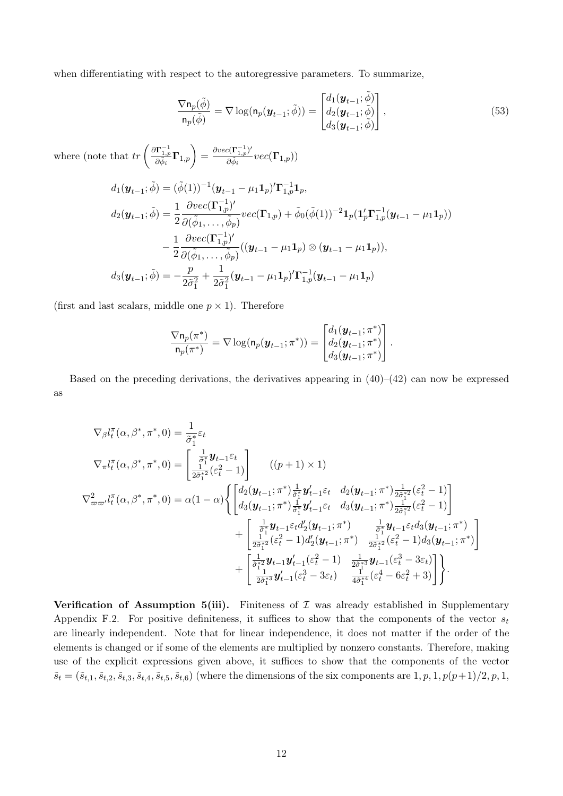when differentiating with respect to the autoregressive parameters. To summarize,

$$
\frac{\nabla \mathsf{n}_p(\tilde{\phi})}{\mathsf{n}_p(\tilde{\phi})} = \nabla \log(\mathsf{n}_p(\boldsymbol{y}_{t-1}; \tilde{\phi})) = \begin{bmatrix} d_1(\boldsymbol{y}_{t-1}; \tilde{\phi}) \\ d_2(\boldsymbol{y}_{t-1}; \tilde{\phi}) \\ d_3(\boldsymbol{y}_{t-1}; \tilde{\phi}) \end{bmatrix},
$$
\n(53)

where (note that  $tr\left(\frac{\partial \Gamma^{-1}_{1,p}}{\partial \tilde{\phi}_i} \Gamma_{1,p}\right) = \frac{\partial vec(\Gamma^{-1}_{1,p})}{\partial \tilde{\phi}_i}$  $\frac{\partial \tilde{\mathbf{c}}(\mathbf{r}_{1,p^{\prime}})}{\partial \tilde{\phi}_{i}}vec(\Gamma_{1,p}))$ 

$$
d_1(\mathbf{y}_{t-1};\tilde{\phi}) = (\tilde{\phi}(1))^{-1}(\mathbf{y}_{t-1} - \mu_1 \mathbf{1}_p)' \mathbf{\Gamma}_{1,p}^{-1} \mathbf{1}_p,
$$
  
\n
$$
d_2(\mathbf{y}_{t-1};\tilde{\phi}) = \frac{1}{2} \frac{\partial vec(\mathbf{\Gamma}_{1,p}^{-1})'}{\partial(\tilde{\phi}_1, \dots, \tilde{\phi}_p)} vec(\mathbf{\Gamma}_{1,p}) + \tilde{\phi}_0(\tilde{\phi}(1))^{-2} \mathbf{1}_p (\mathbf{1}_p' \mathbf{\Gamma}_{1,p}^{-1} (\mathbf{y}_{t-1} - \mu_1 \mathbf{1}_p))
$$
  
\n
$$
- \frac{1}{2} \frac{\partial vec(\mathbf{\Gamma}_{1,p}^{-1})'}{\partial(\tilde{\phi}_1, \dots, \tilde{\phi}_p)} ((\mathbf{y}_{t-1} - \mu_1 \mathbf{1}_p) \otimes (\mathbf{y}_{t-1} - \mu_1 \mathbf{1}_p)),
$$
  
\n
$$
d_3(\mathbf{y}_{t-1};\tilde{\phi}) = -\frac{p}{2\tilde{\sigma}_1^2} + \frac{1}{2\tilde{\sigma}_1^2} (\mathbf{y}_{t-1} - \mu_1 \mathbf{1}_p)' \mathbf{\Gamma}_{1,p}^{-1} (\mathbf{y}_{t-1} - \mu_1 \mathbf{1}_p)
$$

(first and last scalars, middle one  $p \times 1$ ). Therefore

$$
\frac{\nabla \mathbf{n}_p(\pi^*)}{\mathbf{n}_p(\pi^*)} = \nabla \log(\mathbf{n}_p(\mathbf{y}_{t-1}; \pi^*)) = \begin{bmatrix} d_1(\mathbf{y}_{t-1}; \pi^*) \\ d_2(\mathbf{y}_{t-1}; \pi^*) \\ d_3(\mathbf{y}_{t-1}; \pi^*) \end{bmatrix}.
$$

Based on the preceding derivations, the derivatives appearing in  $(40)$ – $(42)$  can now be expressed as

$$
\nabla_{\beta}l_{t}^{\pi}(\alpha,\beta^{*},\pi^{*},0) = \frac{1}{\tilde{\sigma}_{1}^{*}}\varepsilon_{t}
$$
\n
$$
\nabla_{\pi}l_{t}^{\pi}(\alpha,\beta^{*},\pi^{*},0) = \begin{bmatrix} \frac{1}{\tilde{\sigma}_{1}^{*}}\mathbf{y}_{t-1}\varepsilon_{t} \\ \frac{1}{2\tilde{\sigma}_{1}^{*2}}(\varepsilon_{t}^{2}-1) \end{bmatrix} \quad ((p+1)\times 1)
$$
\n
$$
\nabla_{\varpi\varpi}^{2}l_{t}^{\pi}(\alpha,\beta^{*},\pi^{*},0) = \alpha(1-\alpha)\left\{ \begin{bmatrix} d_{2}(\mathbf{y}_{t-1};\pi^{*})\frac{1}{\tilde{\sigma}_{1}^{*}}\mathbf{y}_{t-1}'\varepsilon_{t} & d_{2}(\mathbf{y}_{t-1};\pi^{*})\frac{1}{2\tilde{\sigma}_{1}^{*2}}(\varepsilon_{t}^{2}-1) \\ d_{3}(\mathbf{y}_{t-1};\pi^{*})\frac{1}{\tilde{\sigma}_{1}^{*}}\mathbf{y}_{t-1}'\varepsilon_{t} & d_{3}(\mathbf{y}_{t-1};\pi^{*})\frac{1}{2\tilde{\sigma}_{1}^{*2}}(\varepsilon_{t}^{2}-1) \end{bmatrix} + \begin{bmatrix} \frac{1}{\tilde{\sigma}_{1}^{*}}\mathbf{y}_{t-1}\varepsilon_{t}d_{2}(\mathbf{y}_{t-1};\pi^{*}) & \frac{1}{2\tilde{\sigma}_{1}^{*2}}(\varepsilon_{t}^{2}-1) \\ \frac{1}{2\tilde{\sigma}_{1}^{*2}}(\varepsilon_{t}^{2}-1)d_{2}'(\mathbf{y}_{t-1};\pi^{*}) & \frac{1}{2\tilde{\sigma}_{1}^{*2}}(\varepsilon_{t}^{2}-1)d_{3}(\mathbf{y}_{t-1};\pi^{*}) \end{bmatrix} + \begin{bmatrix} \frac{1}{\tilde{\sigma}_{1}^{*}}\mathbf{y}_{t-1}\varepsilon_{t}d_{2}(\mathbf{y}_{t-1};\pi^{*}) & \frac{1}{2\tilde{\sigma}_{1}^{*2}}(\varepsilon_{t}^{2}-1)d_{3}(\mathbf{y}_{t-1};\pi^{*}) \\ \frac{1}{2\
$$

Verification of Assumption 5(iii). Finiteness of  $\mathcal I$  was already established in Supplementary Appendix F.2. For positive definiteness, it suffices to show that the components of the vector  $s_t$ are linearly independent. Note that for linear independence, it does not matter if the order of the elements is changed or if some of the elements are multiplied by nonzero constants. Therefore, making use of the explicit expressions given above, it suffices to show that the components of the vector  $\tilde{s}_t = (\tilde{s}_{t,1}, \tilde{s}_{t,2}, \tilde{s}_{t,3}, \tilde{s}_{t,4}, \tilde{s}_{t,5}, \tilde{s}_{t,6})$  (where the dimensions of the six components are  $1, p, 1, p(p+1)/2, p, 1,$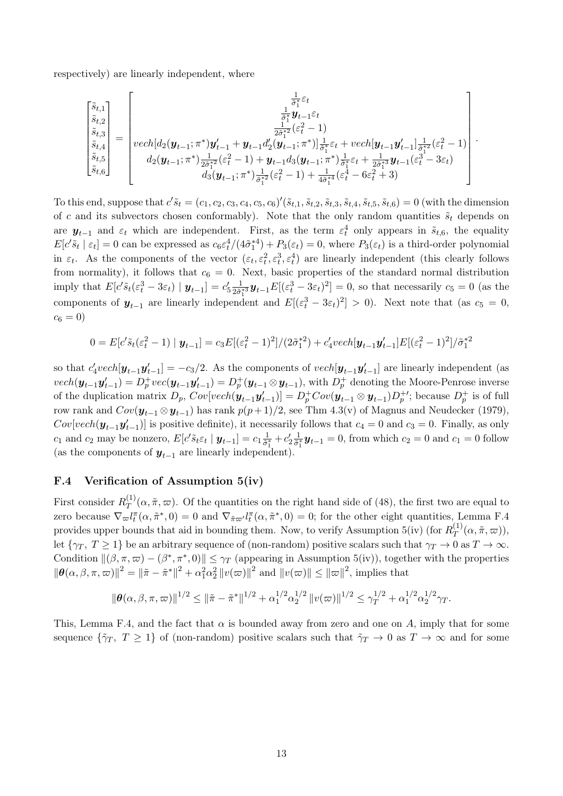respectively) are linearly independent, where

$$
\begin{bmatrix} \tilde{s}_{t,1} \\ \tilde{s}_{t,2} \\ \tilde{s}_{t,3} \\ \tilde{s}_{t,4} \\ \tilde{s}_{t,5} \\ \tilde{s}_{t,6} \end{bmatrix} = \begin{bmatrix} \frac{1}{\tilde{\sigma}_1^*} \varepsilon_t \\ \frac{1}{\tilde{\sigma}_1^*} y_{t-1} \varepsilon_t \\ \frac{1}{2\tilde{\sigma}_1^*} y_{t-1} \varepsilon_t \\ \frac{1}{2\tilde{\sigma}_1^*} ( \varepsilon_t^2 - 1 ) \\ \frac{1}{2\tilde{\sigma}_1^*} ( \varepsilon_t^2 - 1 ) \\ d_2 (y_{t-1}; \pi^*) \frac{1}{2\tilde{\sigma}_1^*} (\varepsilon_t^2 - 1) + y_{t-1} d_3 (y_{t-1}; \pi^*) \frac{1}{\tilde{\sigma}_1^*} \varepsilon_t + \frac{1}{2\tilde{\sigma}_1^*} y_{t-1} (\varepsilon_t^3 - 3\varepsilon_t) \\ d_3 (y_{t-1}; \pi^*) \frac{1}{\tilde{\sigma}_1^*} (\varepsilon_t^2 - 1) + \frac{1}{4\tilde{\sigma}_1^*} (\varepsilon_t^4 - 6\varepsilon_t^2 + 3) \end{bmatrix}
$$

*.*

To this end, suppose that  $c' \tilde{s}_t = (c_1, c_2, c_3, c_4, c_5, c_6)'(\tilde{s}_{t,1}, \tilde{s}_{t,2}, \tilde{s}_{t,3}, \tilde{s}_{t,4}, \tilde{s}_{t,5}, \tilde{s}_{t,6}) = 0$  (with the dimension of *c* and its subvectors chosen conformably). Note that the only random quantities  $\tilde{s}_t$  depends on are  $y_{t-1}$  and  $\varepsilon_t$  which are independent. First, as the term  $\varepsilon_t^4$  only appears in  $\tilde{s}_{t,6}$ , the equality  $E[c'\tilde{s}_t | \varepsilon_t] = 0$  can be expressed as  $c_6\varepsilon_t^4/(4\tilde{\sigma}_1^{*4}) + P_3(\varepsilon_t) = 0$ , where  $P_3(\varepsilon_t)$  is a third-order polynomial in  $\varepsilon_t$ . As the components of the vector  $(\varepsilon_t, \varepsilon_t^2, \varepsilon_t^3, \varepsilon_t^4)$  are linearly independent (this clearly follows from normality), it follows that  $c_6 = 0$ . Next, basic properties of the standard normal distribution imply that  $E[c^3\tilde{s}_t(\varepsilon_t^3 - 3\varepsilon_t) \mid \boldsymbol{y}_{t-1}] = c_5' \frac{1}{2\tilde{\sigma}_1^{*3}} \boldsymbol{y}_{t-1} E[(\varepsilon_t^3 - 3\varepsilon_t)^2] = 0$ , so that necessarily  $c_5 = 0$  (as the components of  $y_{t-1}$  are linearly independent and  $E[(\varepsilon_t^3 - 3\varepsilon_t)^2] > 0$ . Next note that (as  $c_5 = 0$ ,  $c_6 = 0$ 

$$
0 = E[c'\tilde{s}_t(\varepsilon_t^2 - 1) | \mathbf{y}_{t-1}] = c_3 E[(\varepsilon_t^2 - 1)^2]/(2\tilde{\sigma}_1^{*2}) + c'_4 v e ch[\mathbf{y}_{t-1}\mathbf{y}_{t-1}']E[(\varepsilon_t^2 - 1)^2]/\tilde{\sigma}_1^{*2}]
$$

so that  $c'_4$ *vech*[ $y_{t-1}$  $y'_{t-1}$ ] =  $-c_3/2$ . As the components of *vech*[ $y_{t-1}$  $y'_{t-1}$ ] are linearly independent (as  $\text{vech}(\boldsymbol{y}_{t-1}\boldsymbol{y}_{t-1}') = D_p^+\text{vec}(\boldsymbol{y}_{t-1}\boldsymbol{y}_{t-1}') = D_p^+(\boldsymbol{y}_{t-1}\otimes \boldsymbol{y}_{t-1}),$  with  $D_p^+$  denoting the Moore-Penrose inverse of the duplication matrix  $D_p$ ,  $Cov[vech(\mathbf{y}_{t-1}\mathbf{y}_{t-1}')] = D_p^+Cov(\mathbf{y}_{t-1} \otimes \mathbf{y}_{t-1})D_p^{+\prime}$ ; because  $D_p^+$  is of full row rank and  $Cov(\mathbf{y}_{t-1} \otimes \mathbf{y}_{t-1})$  has rank  $p(p+1)/2$ , see Thm 4.3(v) of Magnus and Neudecker (1979),  $Cov[vech(\mathbf{y}_{t-1}\mathbf{y}'_{t-1})]$  is positive definite), it necessarily follows that  $c_4 = 0$  and  $c_3 = 0$ . Finally, as only  $c_1$  and  $c_2$  may be nonzero,  $E[c'\tilde{s}_t\varepsilon_t | \mathbf{y}_{t-1}] = c_1 \frac{1}{\tilde{\sigma}_1}$  $\frac{1}{\tilde{\sigma}_{1}^*}+c_2'\frac{1}{\tilde{\sigma}_{1}^*}$ (as the components of  $y_{t-1}$  are linearly independent).  $\frac{1}{\sigma_1^*} y_{t-1} = 0$ , from which  $c_2 = 0$  and  $c_1 = 0$  follow

# F.4 Verification of Assumption 5(iv)

First consider  $R_T^{(1)}(\alpha, \tilde{\pi}, \varpi)$ . Of the quantities on the right hand side of (48), the first two are equal to zero because  $\nabla_{\varpi} l_t^{\pi}(\alpha, \tilde{\pi}^*, 0) = 0$  and  $\nabla_{\tilde{\pi}\varpi'} l_t^{\pi}(\alpha, \tilde{\pi}^*, 0) = 0$ ; for the other eight quantities, Lemma F.4 provides upper bounds that aid in bounding them. Now, to verify Assumption 5(iv) (for  $R_T^{(1)}(\alpha, \tilde{\pi}, \varpi)$ ), let  $\{\gamma_T, T \geq 1\}$  be an arbitrary sequence of (non-random) positive scalars such that  $\gamma_T \to 0$  as  $T \to \infty$ . Condition  $\|(\beta, \pi, \varpi) - (\beta^*, \pi^*, 0)\| \leq \gamma_T$  (appearing in Assumption 5(iv)), together with the properties  $\|\boldsymbol{\theta}(\alpha,\beta,\pi,\varpi)\|^2 = \|\tilde{\pi} - \tilde{\pi}^*\|^2 + \alpha_1^2 \alpha_2^2 \|v(\varpi)\|^2$  and  $\|v(\varpi)\| \le \|\varpi\|^2$ , implies that

$$
\|\boldsymbol{\theta}(\alpha,\beta,\pi,\varpi)\|^{1/2} \leq \|\tilde{\pi}-\tilde{\pi}^*\|^{1/2} + \alpha_1^{1/2} \alpha_2^{1/2} \|v(\varpi)\|^{1/2} \leq \gamma_T^{1/2} + \alpha_1^{1/2} \alpha_2^{1/2} \gamma_T.
$$

This, Lemma F.4, and the fact that  $\alpha$  is bounded away from zero and one on A, imply that for some sequence  $\{\tilde{\gamma}_T, T \geq 1\}$  of (non-random) positive scalars such that  $\tilde{\gamma}_T \to 0$  as  $T \to \infty$  and for some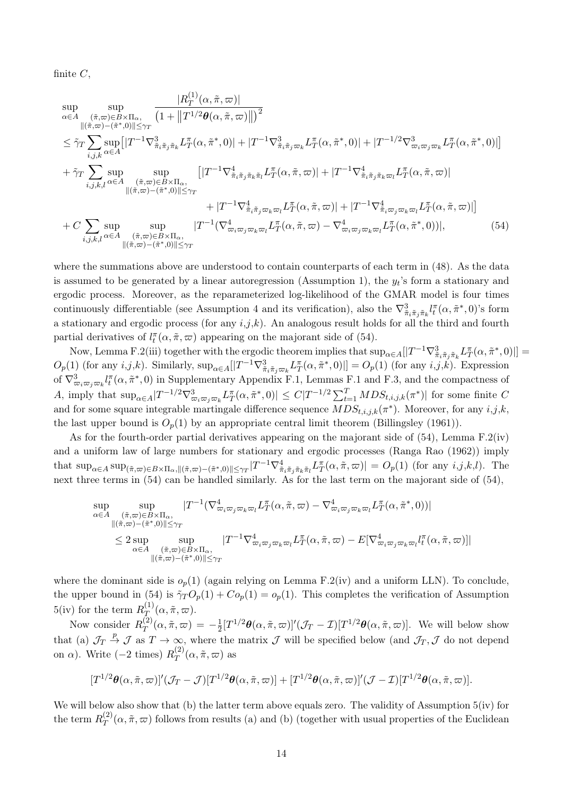finite *C*,

$$
\sup_{\alpha \in A} \sup_{(\tilde{\pi}, \varpi) \in B \times \Pi_{\alpha}, \atop \|(\tilde{\pi}, \varpi) - (\tilde{\pi}^*, 0)\| \leq \gamma_T} \frac{|R_T^{(1)}(\alpha, \tilde{\pi}, \varpi)|}{(1 + \|T^{1/2}\theta(\alpha, \tilde{\pi}, \varpi)\|)|^2} \n\leq \tilde{\gamma}_T \sum_{i,j,k} \sup_{\alpha \in A} [|T^{-1}\nabla^3_{\tilde{\pi}_i\tilde{\pi}_j\tilde{\pi}_k} L_T^{\pi}(\alpha, \tilde{\pi}^*, 0)| + |T^{-1}\nabla^3_{\tilde{\pi}_i\tilde{\pi}_j\varpi_k} L_T^{\pi}(\alpha, \tilde{\pi}^*, 0)| + |T^{-1/2}\nabla^3_{\tilde{\pi}_i\varpi_j\varpi_k} L_T^{\pi}(\alpha, \tilde{\pi}^*, 0)|] \n+ \tilde{\gamma}_T \sum_{i,j,k,l} \sup_{\alpha \in A} \sup_{(\tilde{\pi}, \varpi) \in B \times \Pi_{\alpha}, \atop \|(\tilde{\pi}, \varpi) - (\tilde{\pi}^*, 0)\| \leq \gamma_T} [|T^{-1}\nabla^4_{\tilde{\pi}_i\tilde{\pi}_j\tilde{\pi}_k\tilde{\pi}_l} L_T^{\pi}(\alpha, \tilde{\pi}, \varpi)| + |T^{-1}\nabla^4_{\tilde{\pi}_i\tilde{\pi}_j\tilde{\pi}_k\varpi_l} L_T^{\pi}(\alpha, \tilde{\pi}, \varpi)] \n+ |T^{-1}\nabla^4_{\tilde{\pi}_i\tilde{\pi}_j\varpi_k\varpi_l} L_T^{\pi}(\alpha, \tilde{\pi}, \varpi)| + |T^{-1}\nabla^4_{\tilde{\pi}_i\tilde{\pi}_j\varpi_k\varpi_l} L_T^{\pi}(\alpha, \tilde{\pi}, \varpi)| + |T^{-1}\nabla^4_{\tilde{\pi}_i\varpi_j\varpi_k\varpi_l} L_T^{\pi}(\alpha, \tilde{\pi}, \varpi)]| \n+ C \sum_{i,j,k,l} \sup_{\alpha \in A} \sup_{(\tilde{\pi}, \varpi) \in B \times \Pi_{\alpha}, \atop \|(\tilde{\pi}, \varpi) - (\tilde{\pi}^*, 0)\| \leq \gamma_T} |T^{-1}(\nab
$$

where the summations above are understood to contain counterparts of each term in (48). As the data is assumed to be generated by a linear autoregression (Assumption 1), the  $y_t$ 's form a stationary and ergodic process. Moreover, as the reparameterized log-likelihood of the GMAR model is four times continuously differentiable (see Assumption 4 and its verification), also the  $\nabla^3_{\tilde{\pi}_i\tilde{\pi}_j\tilde{\pi}_k} l^{\pi}_t(\alpha, \tilde{\pi}^*, 0)$ 's form a stationary and ergodic process (for any *i*,*j*,*k*). An analogous result holds for all the third and fourth partial derivatives of  $l_t^{\pi}(\alpha, \tilde{\pi}, \varpi)$  appearing on the majorant side of (54).

Now, Lemma F.2(iii) together with the ergodic theorem implies that  $\sup_{\alpha \in A} [|T^{-1}\nabla^3_{\tilde{\pi}_i\tilde{\pi}_j\tilde{\pi}_k} L_T^{\pi}(\alpha, \tilde{\pi}^*, 0)|] =$  $O_p(1)$  (for any  $i,j,k$ ). Similarly,  $\sup_{\alpha \in A} [|T^{-1}\nabla^3_{\tilde{\pi}_i\tilde{\pi}_j\varpi_k} L_T^{\pi}(\alpha, \tilde{\pi}^*, 0)|] = O_p(1)$  (for any  $i,j,k$ ). Expression of  $\nabla^3_{\varpi_i\varpi_j\varpi_k} l^{\pi}_t(\alpha, \tilde{\pi}^*, 0)$  in Supplementary Appendix F.1, Lemmas F.1 and F.3, and the compactness of A, imply that  $\sup_{\alpha \in A} |T^{-1/2} \nabla^3_{\varpi_i \varpi_j \varpi_k} L_T^{\pi}(\alpha, \tilde{\pi}^*, 0)| \leq C |T^{-1/2} \sum_{t=1}^T MDS_{t,i,j,k}(\pi^*)|$  for some finite C and for some square integrable martingale difference sequence  $MDS_{t,i,k}(\pi^*)$ . Moreover, for any  $i,j,k$ , the last upper bound is  $O_p(1)$  by an appropriate central limit theorem (Billingsley (1961)).

As for the fourth-order partial derivatives appearing on the majorant side of (54), Lemma F.2(iv) and a uniform law of large numbers for stationary and ergodic processes (Ranga Rao (1962)) imply that  $\sup_{\alpha \in A} \sup_{\tilde{\pi}, \tilde{\omega} \in B \times \Pi_{\alpha}, ||(\tilde{\pi}, \tilde{\omega}) - (\tilde{\pi}^*, 0)|| \leq \gamma_T} |T^{-1} \nabla^4_{\tilde{\pi}_i \tilde{\pi}_j \tilde{\pi}_k \tilde{\pi}_l} L_T^{\pi}(\alpha, \tilde{\pi}, \tilde{\omega})| = O_p(1)$  (for any  $i, j, k, l$ ). The next three terms in (54) can be handled similarly. As for the last term on the majorant side of (54),

$$
\sup_{\alpha \in A} \sup_{\substack{(\tilde{\pi}, \varpi) \in B \times \Pi_{\alpha}, \\ \|(\tilde{\pi}, \varpi) - (\tilde{\pi}^*, 0)\| \leq \gamma_T}} |T^{-1}(\nabla^4_{\varpi_i \varpi_j \varpi_k \varpi_l} L_T^{\pi}(\alpha, \tilde{\pi}, \varpi) - \nabla^4_{\varpi_i \varpi_j \varpi_k \varpi_l} L_T^{\pi}(\alpha, \tilde{\pi}^*, 0))|
$$
\n
$$
\leq 2 \sup_{\alpha \in A} \sup_{\substack{(\tilde{\pi}, \varpi) \in B \times \Pi_{\alpha}, \\ \|(\tilde{\pi}, \varpi) - (\tilde{\pi}^*, 0)\| \leq \gamma_T}} |T^{-1} \nabla^4_{\varpi_i \varpi_j \varpi_k \varpi_l} L_T^{\pi}(\alpha, \tilde{\pi}, \varpi) - E[\nabla^4_{\varpi_i \varpi_j \varpi_k \varpi_l} l_l^{\pi}(\alpha, \tilde{\pi}, \varpi)]|
$$

where the dominant side is  $o_p(1)$  (again relying on Lemma F.2(iv) and a uniform LLN). To conclude, the upper bound in (54) is  $\tilde{\gamma}_T O_p(1) + C o_p(1) = o_p(1)$ . This completes the verification of Assumption  $5(iv)$  for the term  $R_{\overline{T}}^{(1)}(\alpha, \tilde{\pi}, \varpi)$ .

Now consider  $R_T^{(2)}(\alpha, \tilde{\pi}, \varpi) = -\frac{1}{2} [T^{1/2} \theta(\alpha, \tilde{\pi}, \varpi)]' (\mathcal{J}_T - \mathcal{I}) [T^{1/2} \theta(\alpha, \tilde{\pi}, \varpi)].$  We will below show that (a)  $\mathcal{J}_T \stackrel{p}{\rightarrow} \mathcal{J}$  as  $T \rightarrow \infty$ , where the matrix  $\mathcal{J}$  will be specified below (and  $\mathcal{J}_T, \mathcal{J}$  do not depend on  $\alpha$ ). Write  $(-2 \text{ times}) R_T^{(2)}(\alpha, \tilde{\pi}, \varpi)$  as

$$
[T^{1/2}\boldsymbol{\theta}(\alpha,\tilde{\pi},\varpi)]'(\mathcal{J}_T-\mathcal{J})[T^{1/2}\boldsymbol{\theta}(\alpha,\tilde{\pi},\varpi)]+[T^{1/2}\boldsymbol{\theta}(\alpha,\tilde{\pi},\varpi)]'(\mathcal{J}-\mathcal{I})[T^{1/2}\boldsymbol{\theta}(\alpha,\tilde{\pi},\varpi)].
$$

We will below also show that (b) the latter term above equals zero. The validity of Assumption 5(iv) for the term  $R_T^{(2)}(\alpha, \tilde{\pi}, \varpi)$  follows from results (a) and (b) (together with usual properties of the Euclidean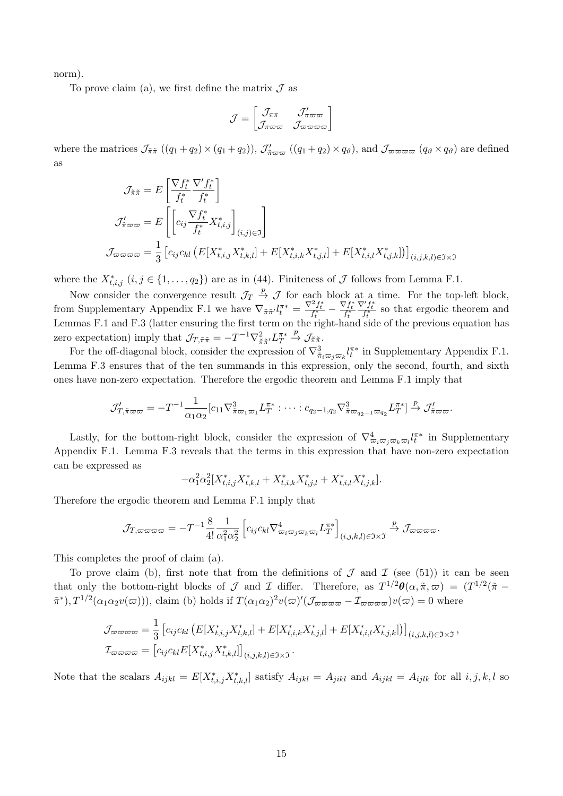norm).

To prove claim (a), we first define the matrix  $\mathcal J$  as

$$
\mathcal{J} = \begin{bmatrix} \mathcal{J}_{\pi\pi} & \mathcal{J}_{\pi\varpi\varpi}^{\prime} \\ \mathcal{J}_{\pi\varpi\varpi} & \mathcal{J}_{\varpi\varpi\varpi\varpi} \end{bmatrix}
$$

where the matrices  $\mathcal{J}_{\tilde{\pi}\tilde{\pi}}((q_1+q_2)\times(q_1+q_2)), \mathcal{J}_{\tilde{\pi}\varpi\varpi}^{\prime}((q_1+q_2)\times q_{\vartheta})$ , and  $\mathcal{J}_{\varpi\varpi\varpi\varpi}(q_{\vartheta}\times q_{\vartheta})$  are defined as

$$
\mathcal{J}_{\tilde{\pi}\tilde{\pi}} = E\left[\frac{\nabla f_t^*}{f_t^*} \frac{\nabla' f_t^*}{f_t^*}\right]
$$
\n
$$
\mathcal{J}_{\tilde{\pi}\varpi\varpi} = E\left[\left[c_{ij} \frac{\nabla f_t^*}{f_t^*} X_{t,i,j}^*\right]_{(i,j)\in\Im}\right]
$$
\n
$$
\mathcal{J}_{\varpi\varpi\varpi\varpi} = \frac{1}{3} \left[c_{ij} c_{kl} \left(E[X_{t,i,j}^* X_{t,k,l}^*] + E[X_{t,i,k}^* X_{t,j,l}^*] + E[X_{t,i,l}^* X_{t,j,k}^*]\right)\right]_{(i,j,k,l)\in\Im\times\Im}
$$

where the  $X^*_{t,i,j}$   $(i, j \in \{1, \ldots, q_2\})$  are as in (44). Finiteness of  $\mathcal J$  follows from Lemma F.1.

Now consider the convergence result  $\mathcal{J}_T \stackrel{p}{\rightarrow} \mathcal{J}$  for each block at a time. For the top-left block, from Supplementary Appendix F.1 we have  $\nabla_{\tilde{\pi}\tilde{\pi}'} l_t^{\pi*} = \frac{\nabla^2 f_t^*}{f_t^*} - \frac{\nabla f_t^*}{f_t^*}$  $\frac{\nabla' f^*_t}{f^*_t}$  so that ergodic theorem and Lemmas F.1 and F.3 (latter ensuring the first term on the right-hand side of the previous equation has zero expectation) imply that  $\mathcal{J}_{T,\tilde{\pi}\tilde{\pi}} = -T^{-1}\nabla^2_{\tilde{\pi}\tilde{\pi}'} L_T^{\pi*}$  $\stackrel{p}{\rightarrow}$   $\mathcal{J}_{\tilde{\pi}\tilde{\pi}}$ .

For the off-diagonal block, consider the expression of  $\nabla^3_{\tilde{\pi}_i \varpi_j \varpi_k} l^{\pi*}_t$  in Supplementary Appendix F.1. Lemma F.3 ensures that of the ten summands in this expression, only the second, fourth, and sixth ones have non-zero expectation. Therefore the ergodic theorem and Lemma F.1 imply that

$$
\mathcal{J}'_{T,\tilde{\pi}\varpi\varpi} = -T^{-1}\frac{1}{\alpha_1\alpha_2} [c_{11}\nabla^3_{\tilde{\pi}\varpi_1\varpi_1} L_T^{\pi*}: \cdots : c_{q_2-1,q_2}\nabla^3_{\tilde{\pi}\varpi_{q_2-1}\varpi_{q_2}} L_T^{\pi*}] \overset{p}{\rightarrow} \mathcal{J}'_{\tilde{\pi}\varpi\varpi}.
$$

Lastly, for the bottom-right block, consider the expression of  $\nabla^4_{\overline{\omega}_i \overline{\omega}_j \overline{\omega}_k \overline{\omega}_l} l_l^{\pi*}$  in Supplementary Appendix F.1. Lemma F.3 reveals that the terms in this expression that have non-zero expectation can be expressed as

$$
-\alpha_1^2 \alpha_2^2 [X_{t,i,j}^* X_{t,k,l}^* + X_{t,i,k}^* X_{t,j,l}^* + X_{t,i,l}^* X_{t,j,k}^*].
$$

Therefore the ergodic theorem and Lemma F.1 imply that

$$
\mathcal{J}_{T,\varpi\varpi\varpi\varpi} = -T^{-1}\frac{8}{4!} \frac{1}{\alpha_1^2 \alpha_2^2} \left[ c_{ij} c_{kl} \nabla^4_{\varpi_i \varpi_j \varpi_k \varpi_l} L_T^{\pi*} \right]_{(i,j,k,l) \in \Im \times \Im} \xrightarrow{p} \mathcal{J}_{\varpi\varpi\varpi\varpi}.
$$

This completes the proof of claim (a).

To prove claim (b), first note that from the definitions of  $\mathcal J$  and  $\mathcal I$  (see (51)) it can be seen that only the bottom-right blocks of *J* and *I* differ. Therefore, as  $T^{1/2}\theta(\alpha, \tilde{\pi}, \varpi) = (T^{1/2}(\tilde{\pi} (\tilde{\pi}^*), T^{1/2}(\alpha_1\alpha_2v(\varpi))$ , claim (b) holds if  $T(\alpha_1\alpha_2)^2v(\varpi)'(\mathcal{J}_{\varpi\varpi\varpi\varpi} - \mathcal{I}_{\varpi\varpi\varpi\varpi})v(\varpi) = 0$  where

$$
\mathcal{J}_{\varpi\varpi\varpi\varpi} = \frac{1}{3} \left[ c_{ij} c_{kl} \left( E[X_{t,i,j}^* X_{t,k,l}^*] + E[X_{t,i,k}^* X_{t,j,l}^*] + E[X_{t,i,l}^* X_{t,j,k}^*] \right) \right]_{(i,j,k,l) \in \Im \times \Im},
$$
  

$$
\mathcal{I}_{\varpi\varpi\varpi\varpi} = \left[ c_{ij} c_{kl} E[X_{t,i,j}^* X_{t,k,l}^*] \right]_{(i,j,k,l) \in \Im \times \Im}.
$$

Note that the scalars  $A_{ijkl} = E[X_{t,i,j}^* X_{t,k,l}^*]$  satisfy  $A_{ijkl} = A_{jikl}$  and  $A_{ijkl} = A_{ijlk}$  for all  $i, j, k, l$  so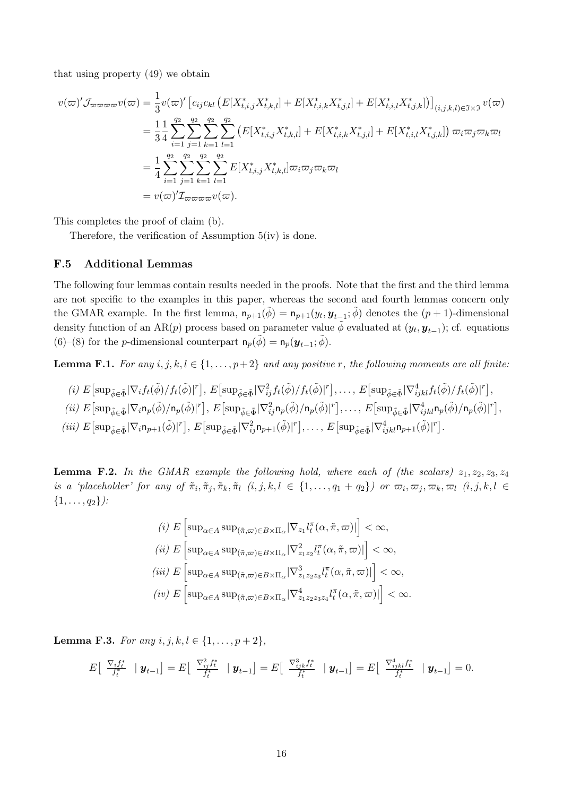that using property (49) we obtain

$$
v(\varpi)' \mathcal{J}_{\varpi\varpi\varpi\varpi} v(\varpi) = \frac{1}{3} v(\varpi)' \left[ c_{ij} c_{kl} \left( E[X_{t,i,j}^* X_{t,k,l}^*] + E[X_{t,i,k}^* X_{t,j,l}^*] + E[X_{t,i,l}^* X_{t,j,k}^*] \right) \right]_{(i,j,k,l) \in \Im \times \Im} v(\varpi)
$$
  
\n
$$
= \frac{1}{3} \frac{1}{4} \sum_{i=1}^{q_2} \sum_{j=1}^{q_2} \sum_{k=1}^{q_2} \sum_{l=1}^{q_2} \left( E[X_{t,i,j}^* X_{t,k,l}^*] + E[X_{t,i,k}^* X_{t,j,l}^*] + E[X_{t,i,l}^* X_{t,j,k}^*] \right) \varpi_i \varpi_j \varpi_k \varpi_l
$$
  
\n
$$
= \frac{1}{4} \sum_{i=1}^{q_2} \sum_{j=1}^{q_2} \sum_{k=1}^{q_2} \sum_{l=1}^{q_2} E[X_{t,i,j}^* X_{t,k,l}^*] \varpi_i \varpi_j \varpi_k \varpi_l
$$
  
\n
$$
= v(\varpi)' \mathcal{I}_{\varpi\varpi\varpi\varpi} v(\varpi).
$$

This completes the proof of claim (b).

Therefore, the verification of Assumption 5(iv) is done.

## F.5 Additional Lemmas

The following four lemmas contain results needed in the proofs. Note that the first and the third lemma are not specific to the examples in this paper, whereas the second and fourth lemmas concern only the GMAR example. In the first lemma,  $n_{p+1}(\tilde{\phi}) = n_{p+1}(y_t, y_{t-1}; \tilde{\phi})$  denotes the  $(p+1)$ -dimensional density function of an AR(*p*) process based on parameter value  $\tilde{\phi}$  evaluated at  $(y_t, y_{t-1})$ ; cf. equations (6)–(8) for the *p*-dimensional counterpart  $n_p(\tilde{\phi}) = n_p(\mathbf{y}_{t-1}; \tilde{\phi})$ .

**Lemma F.1.** *For any*  $i, j, k, l \in \{1, \ldots, p+2\}$  *and any positive r, the following moments are all finite:* 

$$
(i) E[\sup_{\tilde{\phi}\in\tilde{\Phi}}|\nabla_i f_t(\tilde{\phi})/f_t(\tilde{\phi})|^r], E[\sup_{\tilde{\phi}\in\tilde{\Phi}}|\nabla_{ij}^2 f_t(\tilde{\phi})/f_t(\tilde{\phi})|^r], \dots, E[\sup_{\tilde{\phi}\in\tilde{\Phi}}|\nabla_{ijkl}^4 f_t(\tilde{\phi})/f_t(\tilde{\phi})|^r],
$$
  
\n(ii)  $E[\sup_{\tilde{\phi}\in\tilde{\Phi}}|\nabla_i \mathbf{n}_p(\tilde{\phi})/\mathbf{n}_p(\tilde{\phi})|^r], E[\sup_{\tilde{\phi}\in\tilde{\Phi}}|\nabla_{ij}^2 \mathbf{n}_p(\tilde{\phi})/\mathbf{n}_p(\tilde{\phi})|^r], \dots, E[\sup_{\tilde{\phi}\in\tilde{\Phi}}|\nabla_{ijkl}^4 \mathbf{n}_p(\tilde{\phi})/\mathbf{n}_p(\tilde{\phi})|^r],$ 

(iii)  $E[\sup_{\tilde{\phi}\in\tilde{\Phi}}|\nabla_i\mathsf{n}_{p+1}(\tilde{\phi})|^r], E[\sup_{\tilde{\phi}\in\tilde{\Phi}}|\nabla_{ij}^2\mathsf{n}_{p+1}(\tilde{\phi})|^r], \dots, E[\sup_{\tilde{\phi}\in\tilde{\Phi}}|\nabla_{ijkl}^4\mathsf{n}_{p+1}(\tilde{\phi})|^r].$ 

**Lemma F.2.** In the GMAR example the following hold, where each of (the scalars)  $z_1, z_2, z_3, z_4$ is a 'placeholder' for any of  $\tilde{\pi}_i, \tilde{\pi}_j, \tilde{\pi}_k, \tilde{\pi}_l$   $(i, j, k, l \in \{1, ..., q_1 + q_2\})$  or  $\varpi_i, \varpi_j, \varpi_k, \varpi_l$   $(i, j, k, l \in$ *{*1*,...,q*2*}):*

$$
(i) \ E\left[\sup_{\alpha\in A} \sup_{(\tilde{\pi},\varpi)\in B\times\Pi_{\alpha}} |\nabla_{z_1} l_t^{\pi}(\alpha,\tilde{\pi},\varpi)|\right] < \infty,
$$
  
\n
$$
(ii) \ E\left[\sup_{\alpha\in A} \sup_{(\tilde{\pi},\varpi)\in B\times\Pi_{\alpha}} |\nabla_{z_1z_2}^2 l_t^{\pi}(\alpha,\tilde{\pi},\varpi)|\right] < \infty,
$$
  
\n
$$
(iii) \ E\left[\sup_{\alpha\in A} \sup_{(\tilde{\pi},\varpi)\in B\times\Pi_{\alpha}} |\nabla_{z_1z_2z_3}^3 l_t^{\pi}(\alpha,\tilde{\pi},\varpi)|\right] < \infty,
$$
  
\n
$$
(iv) \ E\left[\sup_{\alpha\in A} \sup_{(\tilde{\pi},\varpi)\in B\times\Pi_{\alpha}} |\nabla_{z_1z_2z_3z_4}^4 l_t^{\pi}(\alpha,\tilde{\pi},\varpi)|\right] < \infty.
$$

**Lemma F.3.** *For any*  $i, j, k, l \in \{1, ..., p + 2\}$ *,* 

$$
E\begin{bmatrix} \nabla_{i} f_{t}^{*} & \mid \mathbf{y}_{t-1} \end{bmatrix} = E\begin{bmatrix} \nabla_{i}^{2} f_{t}^{*} & \mid \mathbf{y}_{t-1} \end{bmatrix} = E\begin{bmatrix} \nabla_{ijk}^{3} f_{t}^{*} & \mid \mathbf{y}_{t-1} \end{bmatrix} = E\begin{bmatrix} \nabla_{ijk}^{4} f_{t}^{*} & \mid \mathbf{y}_{t-1} \end{bmatrix} = 0.
$$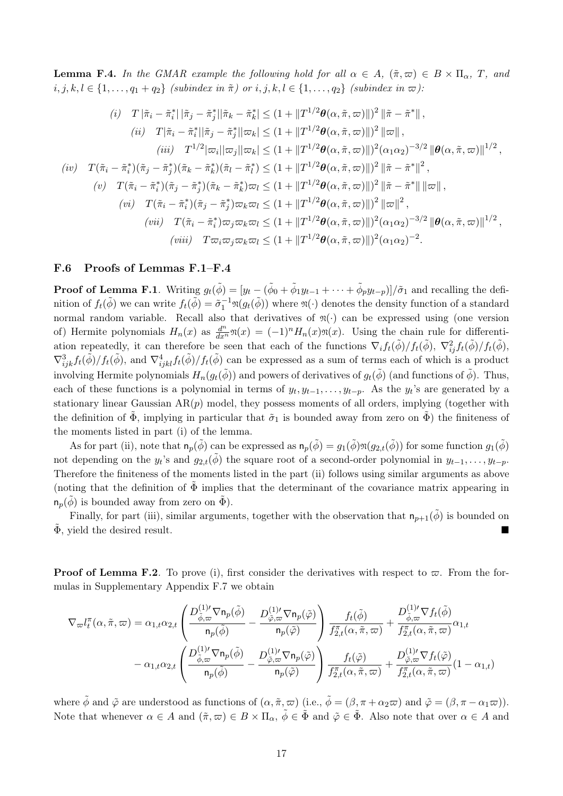**Lemma F.4.** In the GMAR example the following hold for all  $\alpha \in A$ ,  $(\tilde{\pi}, \varpi) \in B \times \Pi_{\alpha}$ , T, and  $i, j, k, l \in \{1, ..., q_1 + q_2\}$  *(subindex in*  $\tilde{\pi}$ *) or*  $i, j, k, l \in \{1, ..., q_2\}$  *(subindex in*  $\varpi$ *):* 

$$
(i) T |\tilde{\pi}_i - \tilde{\pi}_i^*| |\tilde{\pi}_j - \tilde{\pi}_j^*| |\tilde{\pi}_k - \tilde{\pi}_k^*| \leq (1 + ||T^{1/2}\theta(\alpha, \tilde{\pi}, \varpi)||)^2 ||\tilde{\pi} - \tilde{\pi}^*||,
$$
\n
$$
(ii) T |\tilde{\pi}_i - \tilde{\pi}_i^*| |\tilde{\pi}_j - \tilde{\pi}_j^*| |\varpi_k| \leq (1 + ||T^{1/2}\theta(\alpha, \tilde{\pi}, \varpi)||)^2 ||\varpi||,
$$
\n
$$
(iii) T^{1/2} |\varpi_i| |\varpi_j| |\varpi_k| \leq (1 + ||T^{1/2}\theta(\alpha, \tilde{\pi}, \varpi)||)^2 (\alpha_1 \alpha_2)^{-3/2} ||\theta(\alpha, \tilde{\pi}, \varpi)||^{1/2},
$$
\n
$$
(iv) T(\tilde{\pi}_i - \tilde{\pi}_i^*)(\tilde{\pi}_j - \tilde{\pi}_j^*)(\tilde{\pi}_k - \tilde{\pi}_k^*)(\tilde{\pi}_l - \tilde{\pi}_l^*) \leq (1 + ||T^{1/2}\theta(\alpha, \tilde{\pi}, \varpi)||)^2 ||\tilde{\pi} - \tilde{\pi}^*||^2,
$$
\n
$$
(v) T(\tilde{\pi}_i - \tilde{\pi}_i^*)(\tilde{\pi}_j - \tilde{\pi}_j^*)(\tilde{\pi}_k - \tilde{\pi}_k^*) \varpi_l \leq (1 + ||T^{1/2}\theta(\alpha, \tilde{\pi}, \varpi)||)^2 ||\tilde{\pi} - \tilde{\pi}^*|| ||\varpi||,
$$
\n
$$
(vi) T(\tilde{\pi}_i - \tilde{\pi}_i^*)(\tilde{\pi}_j - \tilde{\pi}_j^*) \varpi_k \varpi_l \leq (1 + ||T^{1/2}\theta(\alpha, \tilde{\pi}, \varpi)||)^2 ||\varpi||^2,
$$
\n
$$
(vii) T\tilde{\pi}_i - \tilde{\pi}_i^*) \varpi_j \varpi_k \varpi_l \leq (1 + ||T^{1/2}\theta(\alpha, \tilde{\pi}, \varpi)||)^2 (\alpha_1 \alpha_2)^{-3/2} ||\theta(\alpha, \tilde{\pi}, \varpi)||^{1/2},
$$
\n
$$
(viii) T\varpi_i \varpi_j \varpi
$$

### F.6 Proofs of Lemmas F.1–F.4

**Proof of Lemma F.1**. Writing  $g_t(\tilde{\phi}) = [y_t - (\tilde{\phi}_0 + \tilde{\phi}_1 y_{t-1} + \cdots + \tilde{\phi}_p y_{t-p})]/\tilde{\sigma}_1$  and recalling the definition of  $f_t(\tilde{\phi})$  we can write  $f_t(\tilde{\phi}) = \tilde{\sigma}_1^{-1} \mathfrak{N}(g_t(\tilde{\phi}))$  where  $\mathfrak{N}(\cdot)$  denotes the density function of a standard normal random variable. Recall also that derivatives of  $\mathfrak{n}(\cdot)$  can be expressed using (one version of) Hermite polynomials  $H_n(x)$  as  $\frac{d^n}{dx^n}\mathfrak{N}(x) = (-1)^n H_n(x)\mathfrak{N}(x)$ . Using the chain rule for differentiation repeatedly, it can therefore be seen that each of the functions  $\nabla_i f_t(\tilde{\phi})/f_t(\tilde{\phi}), \nabla^2_{ij} f_t(\tilde{\phi})/f_t(\tilde{\phi}),$  $\nabla^3_{ijk} f_t(\tilde{\phi})/f_t(\tilde{\phi})$ , and  $\nabla^4_{ijkl} f_t(\tilde{\phi})/f_t(\tilde{\phi})$  can be expressed as a sum of terms each of which is a product involving Hermite polynomials  $H_n(g_t(\tilde{\phi}))$  and powers of derivatives of  $g_t(\tilde{\phi})$  (and functions of  $\tilde{\phi}$ ). Thus, each of these functions is a polynomial in terms of  $y_t, y_{t-1}, \ldots, y_{t-p}$ . As the  $y_t$ 's are generated by a stationary linear Gaussian  $AR(p)$  model, they possess moments of all orders, implying (together with the definition of  $\Phi$ , implying in particular that  $\tilde{\sigma}_1$  is bounded away from zero on  $\Phi$ ) the finiteness of the moments listed in part (i) of the lemma.

As for part (ii), note that  $n_p(\tilde{\phi})$  can be expressed as  $n_p(\tilde{\phi}) = g_1(\tilde{\phi})\mathfrak{m}(g_{2,t}(\tilde{\phi}))$  for some function  $g_1(\tilde{\phi})$ not depending on the  $y_t$ 's and  $g_{2,t}(\tilde{\phi})$  the square root of a second-order polynomial in  $y_{t-1}, \ldots, y_{t-p}$ . Therefore the finiteness of the moments listed in the part (ii) follows using similar arguments as above (noting that the definition of  $\tilde{\Phi}$  implies that the determinant of the covariance matrix appearing in  $n_p(\tilde{\phi})$  is bounded away from zero on  $\tilde{\Phi}$ ).

Finally, for part (iii), similar arguments, together with the observation that  $n_{p+1}(\tilde{\phi})$  is bounded on  $\Phi$ , yield the desired result.

**Proof of Lemma F.2**. To prove (i), first consider the derivatives with respect to  $\varpi$ . From the formulas in Supplementary Appendix F.7 we obtain

$$
\nabla_{\varpi} l_{t}^{\pi}(\alpha, \tilde{\pi}, \varpi) = \alpha_{1,t} \alpha_{2,t} \left( \frac{D_{\tilde{\phi}, \varpi}^{(1) \prime} \nabla \mathsf{n}_{p}(\tilde{\phi})}{\mathsf{n}_{p}(\tilde{\phi})} - \frac{D_{\tilde{\phi}, \varpi}^{(1) \prime} \nabla \mathsf{n}_{p}(\tilde{\phi})}{\mathsf{n}_{p}(\tilde{\phi})} \right) \frac{f_{t}(\tilde{\phi})}{f_{2,t}^{\pi}(\alpha, \tilde{\pi}, \varpi)} + \frac{D_{\tilde{\phi}, \varpi}^{(1) \prime} \nabla f_{t}(\tilde{\phi})}{f_{2,t}^{\pi}(\alpha, \tilde{\pi}, \varpi)} \alpha_{1,t} - \alpha_{1,t} \alpha_{2,t} \left( \frac{D_{\tilde{\phi}, \varpi}^{(1) \prime} \nabla \mathsf{n}_{p}(\tilde{\phi})}{\mathsf{n}_{p}(\tilde{\phi})} - \frac{D_{\tilde{\phi}, \varpi}^{(1) \prime} \nabla \mathsf{n}_{p}(\tilde{\phi})}{\mathsf{n}_{p}(\tilde{\phi})} \right) \frac{f_{t}(\tilde{\phi})}{f_{2,t}^{\pi}(\alpha, \tilde{\pi}, \varpi)} + \frac{D_{\tilde{\phi}, \varpi}^{(1) \prime} \nabla f_{t}(\tilde{\phi})}{f_{2,t}^{\pi}(\alpha, \tilde{\pi}, \varpi)} (1 - \alpha_{1,t})
$$

where  $\tilde{\phi}$  and  $\tilde{\varphi}$  are understood as functions of  $(\alpha, \tilde{\pi}, \varpi)$  (i.e.,  $\tilde{\phi} = (\beta, \pi + \alpha_2 \varpi)$  and  $\tilde{\varphi} = (\beta, \pi - \alpha_1 \varpi)$ ). Note that whenever  $\alpha \in A$  and  $(\tilde{\pi}, \varpi) \in B \times \Pi_{\alpha}, \tilde{\phi} \in \tilde{\Phi}$  and  $\tilde{\varphi} \in \tilde{\Phi}$ . Also note that over  $\alpha \in A$  and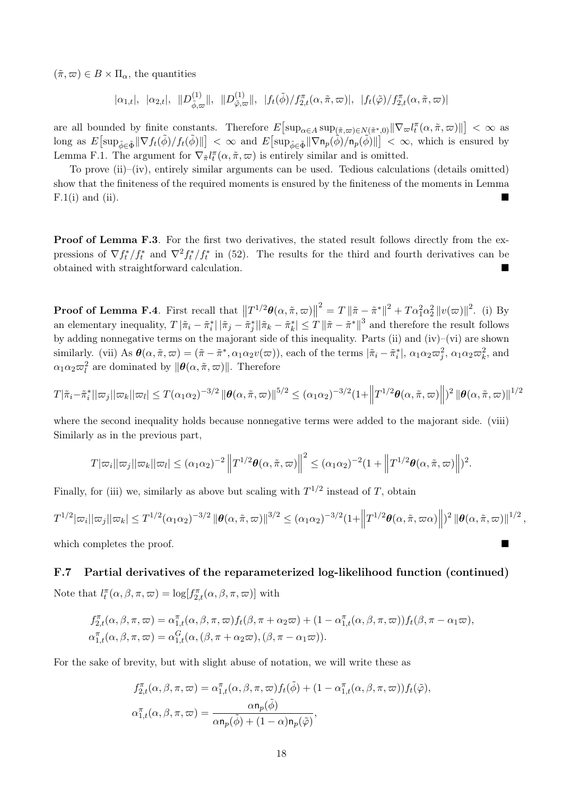$(\tilde{\pi}, \varpi) \in B \times \Pi_{\alpha}$ , the quantities

$$
|\alpha_{1,t}|, \quad |\alpha_{2,t}|, \quad ||D_{\tilde{\phi},\varpi}^{(1)}||, \quad ||D_{\tilde{\varphi},\varpi}^{(1)}||, \quad |f_t(\tilde{\phi})/f_{2,t}^{\pi}(\alpha,\tilde{\pi},\varpi)|, \quad |f_t(\tilde{\varphi})/f_{2,t}^{\pi}(\alpha,\tilde{\pi},\varpi)|
$$

are all bounded by finite constants. Therefore  $E\left[\sup_{\alpha \in A} \sup_{(\tilde{\pi}, \varpi) \in N(\tilde{\pi}^*, 0)} \|\nabla_\varpi l_t^{\pi}(\alpha, \tilde{\pi}, \varpi)\|\right] < \infty$  as  $\lim_{\delta \to 0} \arg \arg \arg \max_{\delta \in \mathfrak{F}} \mathbb{E} \left[ \sup_{\delta \in \mathfrak{F}} \mathbb{E} \left[ \sup_{\delta \in \mathfrak{F}} \mathbb{E} \left[ \sup_{\delta \in \mathfrak{F}} \left( \sum_{i=1}^{\infty} \mathbb{E} \left[ \mathbf{w}_n \right) \right] \mathbb{E} \left( \mathbf{w}_n \right) \right] \right] \leq \infty$ , which is ensured by Lemma F.1. The argument for  $\nabla_{\tilde{\pi}} l_t^{\pi}(\alpha, \tilde{\pi}, \varpi)$  is entirely similar and is omitted.

To prove (ii)–(iv), entirely similar arguments can be used. Tedious calculations (details omitted) show that the finiteness of the required moments is ensured by the finiteness of the moments in Lemma  $F.1(i)$  and (ii).

**Proof of Lemma F.3**. For the first two derivatives, the stated result follows directly from the expressions of  $\nabla f_t^*/f_t^*$  and  $\nabla^2 f_t^* / f_t^*$  in (52). The results for the third and fourth derivatives can be obtained with straightforward calculation.

**Proof of Lemma F.4**. First recall that  $||T^{1/2}\theta(\alpha, \tilde{\pi}, \varpi)||^2 = T ||\tilde{\pi} - \tilde{\pi}^*||^2 + T\alpha_1^2\alpha_2^2 ||v(\varpi)||^2$ . (i) By an elementary inequality,  $T |\tilde{\pi}_i - \tilde{\pi}_i^*| |\tilde{\pi}_j - \tilde{\pi}_j^*| |\tilde{\pi}_k - \tilde{\pi}_k^*| \le T |\tilde{\pi} - \tilde{\pi}^*|^{3}$  and therefore the result follows by adding nonnegative terms on the majorant side of this inequality. Parts (ii) and (iv)–(vi) are shown similarly. (vii) As  $\theta(\alpha, \tilde{\pi}, \varpi) = (\tilde{\pi} - \tilde{\pi}^*, \alpha_1 \alpha_2 v(\varpi))$ , each of the terms  $|\tilde{\pi}_i - \tilde{\pi}_i^*|$ ,  $\alpha_1 \alpha_2 \varpi_i^2$ ,  $\alpha_1 \alpha_2 \varpi_k^2$ , and  $\alpha_1 \alpha_2 \varpi_l^2$  are dominated by  $\|\boldsymbol{\theta}(\alpha, \tilde{\pi}, \varpi)\|$ . Therefore

$$
T|\tilde{\pi}_i - \tilde{\pi}_i^*||\varpi_j||\varpi_k||\varpi_l| \leq T(\alpha_1\alpha_2)^{-3/2} \|\boldsymbol{\theta}(\alpha, \tilde{\pi}, \varpi)\|^{5/2} \leq (\alpha_1\alpha_2)^{-3/2} (1 + \left\|T^{1/2}\boldsymbol{\theta}(\alpha, \tilde{\pi}, \varpi)\right\|)^2 \|\boldsymbol{\theta}(\alpha, \tilde{\pi}, \varpi)\|^{1/2}
$$

where the second inequality holds because nonnegative terms were added to the majorant side. (viii) Similarly as in the previous part,

$$
T|\varpi_i||\varpi_j||\varpi_k||\varpi_l| \leq (\alpha_1\alpha_2)^{-2} \|T^{1/2}\theta(\alpha,\tilde{\pi},\varpi)\|^2 \leq (\alpha_1\alpha_2)^{-2}(1+\|T^{1/2}\theta(\alpha,\tilde{\pi},\varpi)\|)^2.
$$

Finally, for (iii) we, similarly as above but scaling with  $T^{1/2}$  instead of *T*, obtain

$$
T^{1/2}|\varpi_i||\varpi_j||\varpi_k| \leq T^{1/2}(\alpha_1\alpha_2)^{-3/2} \|\boldsymbol{\theta}(\alpha,\tilde{\pi},\varpi)\|^{3/2} \leq (\alpha_1\alpha_2)^{-3/2} (1+\left\|T^{1/2}\boldsymbol{\theta}(\alpha,\tilde{\pi},\varpi\alpha)\right\|)^2 \|\boldsymbol{\theta}(\alpha,\tilde{\pi},\varpi)\|^{1/2},
$$

which completes the proof.

# F.7 Partial derivatives of the reparameterized log-likelihood function (continued)

Note that  $l_t^{\pi}(\alpha, \beta, \pi, \omega) = \log[f_{2,t}^{\pi}(\alpha, \beta, \pi, \omega)]$  with

$$
f_{2,t}^{\pi}(\alpha,\beta,\pi,\varpi) = \alpha_{1,t}^{\pi}(\alpha,\beta,\pi,\varpi) f_t(\beta,\pi+\alpha_2\varpi) + (1-\alpha_{1,t}^{\pi}(\alpha,\beta,\pi,\varpi)) f_t(\beta,\pi-\alpha_1\varpi),
$$
  

$$
\alpha_{1,t}^{\pi}(\alpha,\beta,\pi,\varpi) = \alpha_{1,t}^G(\alpha,(\beta,\pi+\alpha_2\varpi),(\beta,\pi-\alpha_1\varpi)).
$$

For the sake of brevity, but with slight abuse of notation, we will write these as

$$
f_{2,t}^{\pi}(\alpha,\beta,\pi,\varpi) = \alpha_{1,t}^{\pi}(\alpha,\beta,\pi,\varpi) f_t(\tilde{\phi}) + (1 - \alpha_{1,t}^{\pi}(\alpha,\beta,\pi,\varpi)) f_t(\tilde{\phi}),
$$
  

$$
\alpha_{1,t}^{\pi}(\alpha,\beta,\pi,\varpi) = \frac{\alpha \mathsf{n}_p(\tilde{\phi})}{\alpha \mathsf{n}_p(\tilde{\phi}) + (1 - \alpha) \mathsf{n}_p(\tilde{\phi})},
$$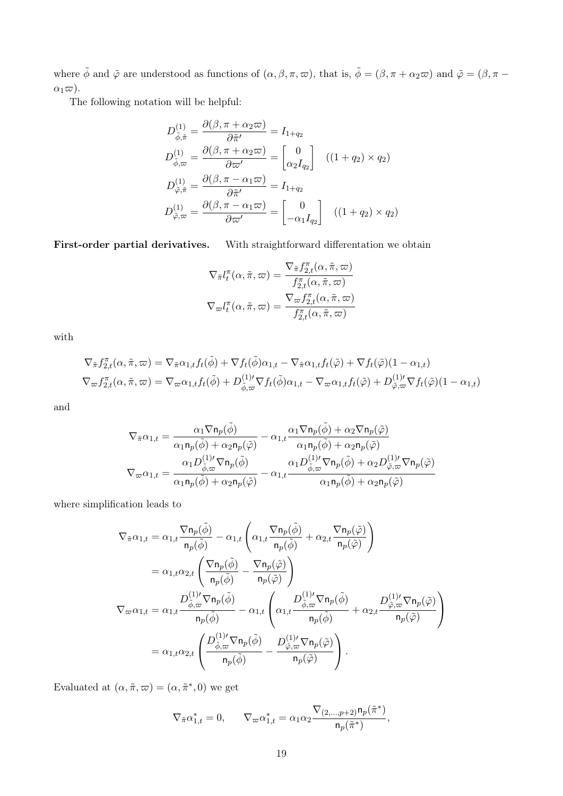where  $\tilde{\phi}$  and  $\tilde{\varphi}$  are understood as functions of  $(\alpha, \beta, \pi, \varpi)$ , that is,  $\tilde{\phi} = (\beta, \pi + \alpha_2 \varpi)$  and  $\tilde{\varphi} = (\beta, \pi - \alpha_1)$  $\alpha_1\varpi$ ).

The following notation will be helpful:

$$
D_{\tilde{\phi},\tilde{\pi}}^{(1)} = \frac{\partial(\beta,\pi + \alpha_2\varpi)}{\partial \tilde{\pi}'} = I_{1+q_2}
$$
  
\n
$$
D_{\tilde{\phi},\varpi}^{(1)} = \frac{\partial(\beta,\pi + \alpha_2\varpi)}{\partial \varpi'} = \begin{bmatrix} 0\\ \alpha_2 I_{q_2} \end{bmatrix} \quad ((1+q_2) \times q_2)
$$
  
\n
$$
D_{\tilde{\varphi},\tilde{\pi}}^{(1)} = \frac{\partial(\beta,\pi - \alpha_1\varpi)}{\partial \tilde{\pi}'} = I_{1+q_2}
$$
  
\n
$$
D_{\tilde{\varphi},\varpi}^{(1)} = \frac{\partial(\beta,\pi - \alpha_1\varpi)}{\partial \varpi'} = \begin{bmatrix} 0\\ -\alpha_1 I_{q_2} \end{bmatrix} \quad ((1+q_2) \times q_2)
$$

First-order partial derivatives. With straightforward differentation we obtain

$$
\nabla_{\tilde{\pi}} l_t^{\pi}(\alpha, \tilde{\pi}, \varpi) = \frac{\nabla_{\tilde{\pi}} f_{2,t}^{\pi}(\alpha, \tilde{\pi}, \varpi)}{f_{2,t}^{\pi}(\alpha, \tilde{\pi}, \varpi)}
$$

$$
\nabla_{\varpi} l_t^{\pi}(\alpha, \tilde{\pi}, \varpi) = \frac{\nabla_{\varpi} f_{2,t}^{\pi}(\alpha, \tilde{\pi}, \varpi)}{f_{2,t}^{\pi}(\alpha, \tilde{\pi}, \varpi)}
$$

with

$$
\nabla_{\tilde{\pi}} f_{2,t}^{\pi}(\alpha, \tilde{\pi}, \varpi) = \nabla_{\tilde{\pi}} \alpha_{1,t} f_t(\tilde{\phi}) + \nabla f_t(\tilde{\phi}) \alpha_{1,t} - \nabla_{\tilde{\pi}} \alpha_{1,t} f_t(\tilde{\varphi}) + \nabla f_t(\tilde{\varphi}) (1 - \alpha_{1,t})
$$
  
\n
$$
\nabla_{\varpi} f_{2,t}^{\pi}(\alpha, \tilde{\pi}, \varpi) = \nabla_{\varpi} \alpha_{1,t} f_t(\tilde{\phi}) + D_{\tilde{\phi}, \varpi}^{(1)\prime} \nabla f_t(\tilde{\phi}) \alpha_{1,t} - \nabla_{\varpi} \alpha_{1,t} f_t(\tilde{\varphi}) + D_{\tilde{\phi}, \varpi}^{(1)\prime} \nabla f_t(\tilde{\phi}) (1 - \alpha_{1,t})
$$

and

$$
\begin{aligned} \nabla_{\tilde{\pi}}\alpha_{1,t} &= \frac{\alpha_1\nabla \mathbf{n}_p(\tilde{\phi})}{\alpha_1\mathbf{n}_p(\tilde{\phi})+\alpha_2\mathbf{n}_p(\tilde{\phi})}-\alpha_{1,t}\frac{\alpha_1\nabla \mathbf{n}_p(\tilde{\phi})+\alpha_2\nabla \mathbf{n}_p(\tilde{\phi})}{\alpha_1\mathbf{n}_p(\tilde{\phi})+\alpha_2\mathbf{n}_p(\tilde{\phi})}\\ \nabla_{\varpi}\alpha_{1,t} &= \frac{\alpha_1D^{(1)\prime}_{\tilde{\phi},\varpi}\nabla \mathbf{n}_p(\tilde{\phi})}{\alpha_1\mathbf{n}_p(\tilde{\phi})+\alpha_2\mathbf{n}_p(\tilde{\phi})}-\alpha_{1,t}\frac{\alpha_1D^{(1)\prime}_{\tilde{\phi},\varpi}\nabla \mathbf{n}_p(\tilde{\phi})+\alpha_2D^{(1)\prime}_{\tilde{\phi},\varpi}\nabla \mathbf{n}_p(\tilde{\phi})}{\alpha_1\mathbf{n}_p(\tilde{\phi})+\alpha_2\mathbf{n}_p(\tilde{\phi})} \end{aligned}
$$

where simplification leads to

$$
\begin{split} \nabla_{\tilde{\pi}}\alpha_{1,t} & = \alpha_{1,t}\frac{\nabla \mathbf{n}_{p}(\tilde{\phi})}{\mathbf{n}_{p}(\tilde{\phi})} - \alpha_{1,t}\left(\alpha_{1,t}\frac{\nabla \mathbf{n}_{p}(\tilde{\phi})}{\mathbf{n}_{p}(\tilde{\phi})} + \alpha_{2,t}\frac{\nabla \mathbf{n}_{p}(\tilde{\phi})}{\mathbf{n}_{p}(\tilde{\phi})}\right) \\ & = \alpha_{1,t}\alpha_{2,t}\left(\frac{\nabla \mathbf{n}_{p}(\tilde{\phi})}{\mathbf{n}_{p}(\tilde{\phi})} - \frac{\nabla \mathbf{n}_{p}(\tilde{\phi})}{\mathbf{n}_{p}(\tilde{\phi})}\right) \\ \nabla_{\varpi}\alpha_{1,t} & = \alpha_{1,t}\frac{D^{(1) \prime}_{\tilde{\phi},\varpi}\nabla \mathbf{n}_{p}(\tilde{\phi})}{\mathbf{n}_{p}(\tilde{\phi})} - \alpha_{1,t}\left(\alpha_{1,t}\frac{D^{(1) \prime}_{\tilde{\phi},\varpi}\nabla \mathbf{n}_{p}(\tilde{\phi})}{\mathbf{n}_{p}(\tilde{\phi})} + \alpha_{2,t}\frac{D^{(1) \prime}_{\tilde{\phi},\varpi}\nabla \mathbf{n}_{p}(\tilde{\varphi})}{\mathbf{n}_{p}(\tilde{\phi})}\right) \\ & = \alpha_{1,t}\alpha_{2,t}\left(\frac{D^{(1) \prime}_{\tilde{\phi},\varpi}\nabla \mathbf{n}_{p}(\tilde{\phi})}{\mathbf{n}_{p}(\tilde{\phi})} - \frac{D^{(1) \prime}_{\tilde{\phi},\varpi}\nabla \mathbf{n}_{p}(\tilde{\varphi})}{\mathbf{n}_{p}(\tilde{\varphi})}\right). \end{split}
$$

Evaluated at  $(\alpha, \tilde{\pi}, \varpi) = (\alpha, \tilde{\pi}^*, 0)$  we get

$$
\nabla_{\tilde{\pi}} \alpha_{1,t}^* = 0, \qquad \nabla_{\varpi} \alpha_{1,t}^* = \alpha_1 \alpha_2 \frac{\nabla_{(2,\ldots,p+2)} \mathsf{n}_p(\tilde{\pi}^*)}{\mathsf{n}_p(\tilde{\pi}^*)},
$$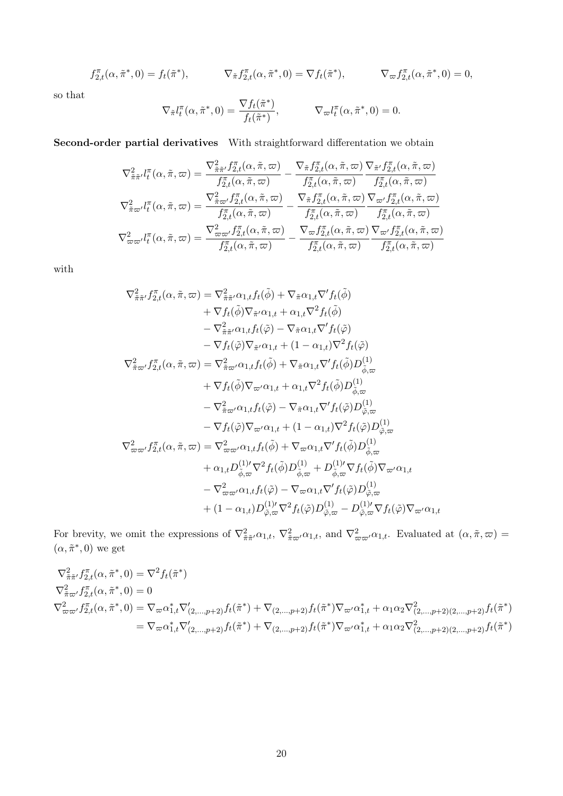$$
f_{2,t}^{\pi}(\alpha, \tilde{\pi}^*, 0) = f_t(\tilde{\pi}^*), \qquad \nabla_{\tilde{\pi}} f_{2,t}^{\pi}(\alpha, \tilde{\pi}^*, 0) = \nabla f_t(\tilde{\pi}^*), \qquad \nabla_{\varpi} f_{2,t}^{\pi}(\alpha, \tilde{\pi}^*, 0) = 0,
$$

so that

$$
\nabla_{\tilde{\pi}} l_t^{\pi}(\alpha, \tilde{\pi}^*, 0) = \frac{\nabla f_t(\tilde{\pi}^*)}{f_t(\tilde{\pi}^*)}, \qquad \nabla_{\varpi} l_t^{\pi}(\alpha, \tilde{\pi}^*, 0) = 0.
$$

Second-order partial derivatives With straightforward differentation we obtain

$$
\nabla_{\tilde{\pi}\tilde{\pi}'}^{2}l_{t}^{\pi}(\alpha,\tilde{\pi},\varpi)=\frac{\nabla_{\tilde{\pi}\tilde{\pi}'}^{2}f_{2,t}^{\pi}(\alpha,\tilde{\pi},\varpi)}{f_{2,t}^{\pi}(\alpha,\tilde{\pi},\varpi)}-\frac{\nabla_{\tilde{\pi}}f_{2,t}^{\pi}(\alpha,\tilde{\pi},\varpi)}{f_{2,t}^{\pi}(\alpha,\tilde{\pi},\varpi)}\frac{\nabla_{\tilde{\pi}'}f_{2,t}^{\pi}(\alpha,\tilde{\pi},\varpi)}{f_{2,t}^{\pi}(\alpha,\tilde{\pi},\varpi)}
$$
\n
$$
\nabla_{\tilde{\pi}\varpi'}^{2}l_{t}^{\pi}(\alpha,\tilde{\pi},\varpi)=\frac{\nabla_{\tilde{\pi}\varpi'}^{2}f_{2,t}^{\pi}(\alpha,\tilde{\pi},\varpi)}{f_{2,t}^{\pi}(\alpha,\tilde{\pi},\varpi)}-\frac{\nabla_{\tilde{\pi}}f_{2,t}^{\pi}(\alpha,\tilde{\pi},\varpi)}{f_{2,t}^{\pi}(\alpha,\tilde{\pi},\varpi)}\frac{\nabla_{\varpi'}f_{2,t}^{\pi}(\alpha,\tilde{\pi},\varpi)}{f_{2,t}^{\pi}(\alpha,\tilde{\pi},\varpi)}
$$
\n
$$
\nabla_{\varpi\varpi'}^{2}l_{t}^{\pi}(\alpha,\tilde{\pi},\varpi)=\frac{\nabla_{\varpi\varpi'}^{2}f_{2,t}^{\pi}(\alpha,\tilde{\pi},\varpi)}{f_{2,t}^{\pi}(\alpha,\tilde{\pi},\varpi)}-\frac{\nabla_{\varpi}f_{2,t}^{\pi}(\alpha,\tilde{\pi},\varpi)}{f_{2,t}^{\pi}(\alpha,\tilde{\pi},\varpi)}\frac{\nabla_{\varpi'}f_{2,t}^{\pi}(\alpha,\tilde{\pi},\varpi)}{f_{2,t}^{\pi}(\alpha,\tilde{\pi},\varpi)}
$$

with

$$
\nabla^2_{\tilde{\pi}\tilde{\pi}'} f_{2,t}^{\pi}(\alpha, \tilde{\pi}, \varpi) = \nabla^2_{\tilde{\pi}\tilde{\pi}'} \alpha_{1,t} f_t(\tilde{\phi}) + \nabla_{\tilde{\pi}} \alpha_{1,t} \nabla' f_t(\tilde{\phi}) \n+ \nabla f_t(\tilde{\phi}) \nabla_{\tilde{\pi}'} \alpha_{1,t} + \alpha_{1,t} \nabla^2 f_t(\tilde{\phi}) \n- \nabla^2_{\tilde{\pi}\tilde{\pi}'} \alpha_{1,t} f_t(\tilde{\varphi}) - \nabla_{\tilde{\pi}} \alpha_{1,t} \nabla' f_t(\tilde{\varphi}) \n- \nabla f_t(\tilde{\varphi}) \nabla_{\tilde{\pi}'} \alpha_{1,t} + (1 - \alpha_{1,t}) \nabla^2 f_t(\tilde{\varphi}) \n\nabla^2_{\tilde{\pi}\varpi'} f_{2,t}^{\pi}(\alpha, \tilde{\pi}, \varpi) = \nabla^2_{\tilde{\pi}\varpi'} \alpha_{1,t} f_t(\tilde{\phi}) + \nabla_{\tilde{\pi}} \alpha_{1,t} \nabla' f_t(\tilde{\phi}) D_{\tilde{\phi},\varpi}^{(1)} \n+ \nabla f_t(\tilde{\phi}) \nabla_{\varpi'} \alpha_{1,t} + \alpha_{1,t} \nabla^2 f_t(\tilde{\phi}) D_{\tilde{\phi},\varpi}^{(1)} \n- \nabla^2_{\tilde{\pi}\varpi'} \alpha_{1,t} f_t(\tilde{\varphi}) - \nabla_{\tilde{\pi}} \alpha_{1,t} \nabla' f_t(\tilde{\varphi}) D_{\tilde{\varphi},\varpi}^{(1)} \n- \nabla f_t(\tilde{\varphi}) \nabla_{\varpi'} \alpha_{1,t} + (1 - \alpha_{1,t}) \nabla^2 f_t(\tilde{\varphi}) D_{\tilde{\varphi},\varpi}^{(1)} \n- \nabla^2_{\tilde{\pi}'} \alpha_{1,t} f_t(\tilde{\phi}) + \nabla_{\varpi} \alpha_{1,t} \nabla' f_t(\tilde{\phi}) D_{\tilde{\phi},\varpi}^{(1)} \n- \alpha_{1,t} D_{\tilde{\phi},\varpi}^{(1)/} \nabla^2 f_t(\tilde
$$

For brevity, we omit the expressions of  $\nabla^2_{\tilde{\pi}\tilde{\pi}'}\alpha_{1,t}$ ,  $\nabla^2_{\tilde{\pi}\varpi'}\alpha_{1,t}$ , and  $\nabla^2_{\varpi\varpi'}\alpha_{1,t}$ . Evaluated at  $(\alpha, \tilde{\pi}, \varpi)$  $(\alpha, \tilde{\pi}^*, 0)$  we get

$$
\nabla_{\tilde{\pi}\tilde{\pi}'}^2 f_{2,t}^{\pi}(\alpha, \tilde{\pi}^*, 0) = \nabla^2 f_t(\tilde{\pi}^*)
$$
\n
$$
\nabla_{\tilde{\pi}\tilde{\omega}'}^2 f_{2,t}^{\pi}(\alpha, \tilde{\pi}^*, 0) = 0
$$
\n
$$
\nabla_{\omega\omega'}^2 f_{2,t}^{\pi}(\alpha, \tilde{\pi}^*, 0) = \nabla_{\omega}\alpha_{1,t}^* \nabla'_{(2,\dots,p+2)} f_t(\tilde{\pi}^*) + \nabla_{(2,\dots,p+2)} f_t(\tilde{\pi}^*) \nabla_{\omega'}\alpha_{1,t}^* + \alpha_1 \alpha_2 \nabla_{(2,\dots,p+2)}^2 f_t(\tilde{\pi}^*)
$$
\n
$$
= \nabla_{\omega}\alpha_{1,t}^* \nabla'_{(2,\dots,p+2)} f_t(\tilde{\pi}^*) + \nabla_{(2,\dots,p+2)} f_t(\tilde{\pi}^*) \nabla_{\omega'}\alpha_{1,t}^* + \alpha_1 \alpha_2 \nabla_{(2,\dots,p+2)}^2 f_t(\tilde{\pi}^*)
$$